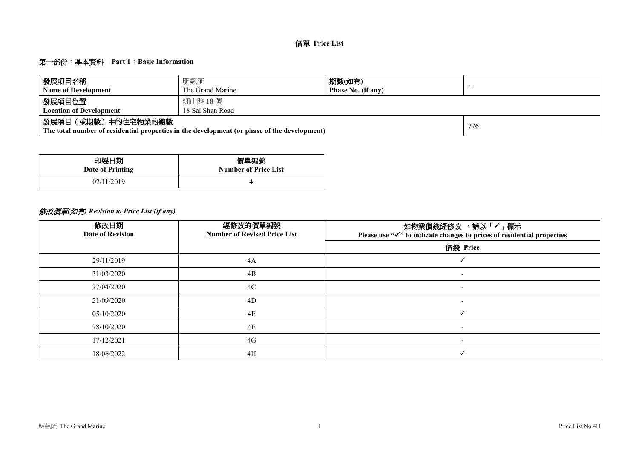## 第一部份:基本資料 **Part 1**:**Basic Information**

| 發展項目名稱                         | 明翹匯                                                                                         | 期數(如有)             | $-$ |  |  |  |  |  |  |  |  |
|--------------------------------|---------------------------------------------------------------------------------------------|--------------------|-----|--|--|--|--|--|--|--|--|
| <b>Name of Development</b>     | The Grand Marine                                                                            | Phase No. (if any) |     |  |  |  |  |  |  |  |  |
| 發展項目位置                         | 細山路 18號                                                                                     |                    |     |  |  |  |  |  |  |  |  |
| <b>Location of Development</b> | 18 Sai Shan Road                                                                            |                    |     |  |  |  |  |  |  |  |  |
| 發展項目(或期數)中的住宅物業的總數             | The total number of residential properties in the development (or phase of the development) |                    | 776 |  |  |  |  |  |  |  |  |

| 印製日期             | 價單編號                        |
|------------------|-----------------------------|
| Date of Printing | <b>Number of Price List</b> |
| 02/11/2019       |                             |

# 修改價單*(*如有*) Revision to Price List (if any)*

| 修改日期<br><b>Date of Revision</b> | 經修改的價單編號<br><b>Number of Revised Price List</b> | 如物業價錢經修改 ,請以「✔」 標示<br>Please use "√" to indicate changes to prices of residential properties |
|---------------------------------|-------------------------------------------------|----------------------------------------------------------------------------------------------|
|                                 |                                                 | 價錢 Price                                                                                     |
| 29/11/2019                      | 4A                                              |                                                                                              |
| 31/03/2020                      | 4B                                              | $\sim$                                                                                       |
| 27/04/2020                      | 4C                                              | $\overline{\phantom{0}}$                                                                     |
| 21/09/2020                      | 4D                                              | $\overline{\phantom{a}}$                                                                     |
| 05/10/2020                      | 4E                                              | $\checkmark$                                                                                 |
| 28/10/2020                      | 4F                                              | $\overline{\phantom{a}}$                                                                     |
| 17/12/2021                      | 4G                                              | $\overline{\phantom{0}}$                                                                     |
| 18/06/2022                      | 4H                                              |                                                                                              |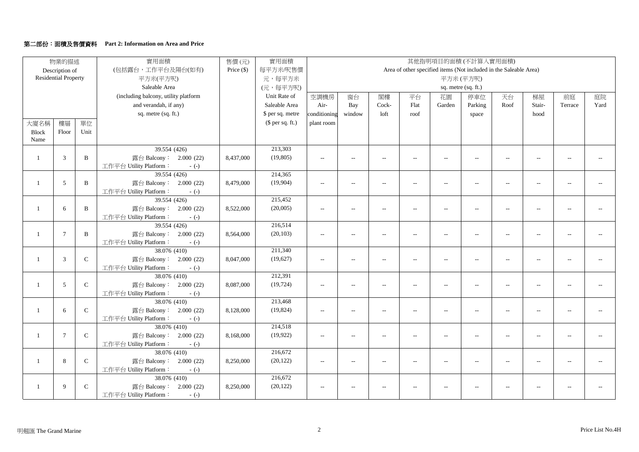### 第二部份:面積及售價資料 **Part 2: Information on Area and Price**

|                | 物業的描述                       |              | 實用面積                                             | 售價(元)        | 實用面積             |                          |                          |                          |                   | 其他指明項目的面積(不計算入實用面積)      |                          |                                                                   |                          |                             |                |
|----------------|-----------------------------|--------------|--------------------------------------------------|--------------|------------------|--------------------------|--------------------------|--------------------------|-------------------|--------------------------|--------------------------|-------------------------------------------------------------------|--------------------------|-----------------------------|----------------|
|                | Description of              |              | (包括露台,工作平台及陽台(如有)                                | Price $(\$)$ | 每平方米/呎售價         |                          |                          |                          |                   |                          |                          | Area of other specified items (Not included in the Saleable Area) |                          |                             |                |
|                | <b>Residential Property</b> |              | 平方米(平方呎)                                         |              | 元,每平方米           |                          |                          |                          |                   |                          | 平方米(平方呎)                 |                                                                   |                          |                             |                |
|                |                             |              | Saleable Area                                    |              | (元,每平方呎)         |                          |                          |                          |                   |                          | sq. metre (sq. ft.)      |                                                                   |                          |                             |                |
|                |                             |              | (including balcony, utility platform             |              | Unit Rate of     | 空調機房                     | 窗台                       | 閣樓                       | 平台                | 花園                       | 停車位                      | 天台                                                                | 梯屋                       | 前庭                          | 庭院             |
|                |                             |              | and verandah, if any)                            |              | Saleable Area    | Air-                     | Bay                      | Cock-                    | Flat              | Garden                   | Parking                  | Roof                                                              | Stair-                   | Terrace                     | Yard           |
|                |                             |              | sq. metre (sq. ft.)                              |              | \$ per sq. metre | conditioning             | window                   | loft                     | roof              |                          | space                    |                                                                   | hood                     |                             |                |
| 大廈名稱           | 樓層                          | 單位           |                                                  |              | (\$ per sq. ft.) | plant room               |                          |                          |                   |                          |                          |                                                                   |                          |                             |                |
| <b>Block</b>   | Floor                       | Unit         |                                                  |              |                  |                          |                          |                          |                   |                          |                          |                                                                   |                          |                             |                |
| Name           |                             |              |                                                  |              |                  |                          |                          |                          |                   |                          |                          |                                                                   |                          |                             |                |
|                |                             |              | 39.554 (426)                                     |              | 213,303          |                          |                          |                          |                   |                          |                          |                                                                   |                          |                             |                |
| -1             | 3                           | $\, {\bf B}$ | 露台 Balcony: 2.000 (22)                           | 8,437,000    | (19, 805)        | $\overline{a}$           | $\frac{1}{2}$            | $\sim$                   | $\overline{a}$    | $\overline{a}$           | $-$                      | $\sim$                                                            | $\overline{a}$           | $\overline{a}$              |                |
|                |                             |              | 工作平台 Utility Platform:<br>$-(-)$                 |              |                  |                          |                          |                          |                   |                          |                          |                                                                   |                          |                             |                |
|                |                             |              | 39.554(426)                                      |              | 214,365          |                          |                          |                          |                   |                          |                          |                                                                   |                          |                             |                |
| 1              | 5                           | $\, {\bf B}$ | 露台 Balcony: 2.000 (22)                           | 8,479,000    | (19,904)         | $\overline{\phantom{a}}$ | $\sim$                   | $\sim$                   | $\overline{a}$    | $\overline{a}$           | $\sim$                   | $\sim$                                                            | $\overline{a}$           |                             |                |
|                |                             |              | 工作平台 Utility Platform:<br>$-(-)$                 |              |                  |                          |                          |                          |                   |                          |                          |                                                                   |                          |                             |                |
|                |                             |              | 39.554 (426)                                     |              | 215,452          |                          |                          |                          |                   |                          |                          |                                                                   |                          |                             |                |
| 1              | 6                           | $\, {\bf B}$ | 露台 Balcony: 2.000 (22)                           | 8,522,000    | (20,005)         | $\sim$ $\sim$            | $\frac{1}{2}$            | $\sim$                   | $\overline{a}$    | $\sim$                   | $\overline{a}$           | $\overline{a}$                                                    | $\overline{a}$           | $\sim$                      |                |
|                |                             |              | 工作平台 Utility Platform:<br>$-(-)$                 |              |                  |                          |                          |                          |                   |                          |                          |                                                                   |                          |                             |                |
|                |                             |              | 39.554 (426)                                     |              | 216,514          |                          |                          |                          |                   |                          |                          |                                                                   |                          |                             |                |
| 1              | $\overline{7}$              | $\mathbf{B}$ | 露台 Balcony: 2.000 (22)                           | 8,564,000    | (20, 103)        | $\overline{\phantom{a}}$ | $\overline{\phantom{a}}$ | $\overline{\phantom{a}}$ | $\qquad \qquad -$ | $\overline{\phantom{a}}$ | $\overline{\phantom{a}}$ | $\overline{\phantom{a}}$                                          | $\overline{\phantom{a}}$ | $\sim$                      |                |
|                |                             |              | 工作平台 Utility Platform:<br>$-(-)$                 |              |                  |                          |                          |                          |                   |                          |                          |                                                                   |                          |                             |                |
|                |                             |              | 38.076 (410)                                     |              | 211,340          |                          |                          |                          |                   |                          |                          |                                                                   |                          |                             |                |
| $\overline{1}$ | 3                           | ${\bf C}$    | 露台 Balcony: 2.000 (22)                           | 8,047,000    | (19,627)         | $\overline{\phantom{a}}$ | $\qquad \qquad -$        | $\overline{\phantom{a}}$ | $\overline{a}$    | $\overline{a}$           | $\overline{a}$           | $\overline{a}$                                                    | $\overline{a}$           | $\mathcal{L}_{\mathcal{A}}$ | $\sim$         |
|                |                             |              | 工作平台 Utility Platform:<br>$-(-)$                 |              |                  |                          |                          |                          |                   |                          |                          |                                                                   |                          |                             |                |
|                |                             |              | 38.076 (410)                                     |              | 212,391          |                          |                          |                          |                   |                          |                          |                                                                   |                          |                             |                |
| $\mathbf{1}$   | 5                           | ${\bf C}$    | 露台 Balcony: 2.000 (22)                           | 8,087,000    | (19, 724)        | $\overline{\phantom{a}}$ |                          | $\sim$                   | $\overline{a}$    | $\overline{a}$           | $\overline{a}$           | $\sim$                                                            |                          |                             |                |
|                |                             |              | 工作平台 Utility Platform:<br>$-(-)$                 |              |                  |                          |                          |                          |                   |                          |                          |                                                                   |                          |                             |                |
|                |                             |              | 38.076 (410)                                     |              | 213,468          |                          |                          |                          |                   |                          |                          |                                                                   |                          |                             |                |
| $\mathbf{1}$   | 6                           | $\mathsf C$  | 露台 Balcony: 2.000 (22)                           | 8,128,000    | (19, 824)        | $\sim$                   | $\qquad \qquad -$        | $\overline{\phantom{a}}$ | $\overline{a}$    | $\overline{a}$           | $\overline{a}$           | $\overline{\phantom{a}}$                                          | $\overline{a}$           | $\sim$ $\sim$               | $\overline{a}$ |
|                |                             |              | 工作平台 Utility Platform:<br>$-(-)$<br>38.076 (410) |              | 214,518          |                          |                          |                          |                   |                          |                          |                                                                   |                          |                             |                |
|                | $\overline{7}$              | $\mathsf{C}$ |                                                  |              |                  |                          |                          |                          |                   |                          |                          |                                                                   |                          |                             |                |
| 1              |                             |              | 露台 Balcony: 2.000 (22)                           | 8,168,000    | (19, 922)        | $\overline{a}$           | $\qquad \qquad -$        | $\overline{\phantom{a}}$ | $\overline{a}$    | $\overline{a}$           | $-$                      | $\overline{a}$                                                    | $\overline{a}$           |                             |                |
|                |                             |              | 工作平台 Utility Platform:<br>$-(-)$<br>38.076 (410) |              | 216,672          |                          |                          |                          |                   |                          |                          |                                                                   |                          |                             |                |
| $\mathbf{1}$   | 8                           | $\mathsf C$  | 露台 Balcony: 2.000 (22)                           | 8,250,000    | (20, 122)        | $\sim$ $\sim$            | $\frac{1}{2}$            | $\sim$                   | $\overline{a}$    | $\sim$                   | $\sim$ $\sim$            | $\overline{a}$                                                    | $\sim$                   | $\sim$                      |                |
|                |                             |              | 工作平台 Utility Platform:<br>$-(-)$                 |              |                  |                          |                          |                          |                   |                          |                          |                                                                   |                          |                             |                |
|                |                             |              | 38.076 (410)                                     |              | 216,672          |                          |                          |                          |                   |                          |                          |                                                                   |                          |                             |                |
| -1             | 9                           | $\mathsf C$  | 露台 Balcony: 2.000 (22)                           | 8,250,000    | (20, 122)        |                          |                          |                          |                   |                          |                          |                                                                   |                          |                             |                |
|                |                             |              | 工作平台 Utility Platform:<br>$-(-)$                 |              |                  |                          |                          |                          |                   |                          |                          |                                                                   |                          |                             |                |
|                |                             |              |                                                  |              |                  |                          |                          |                          |                   |                          |                          |                                                                   |                          |                             |                |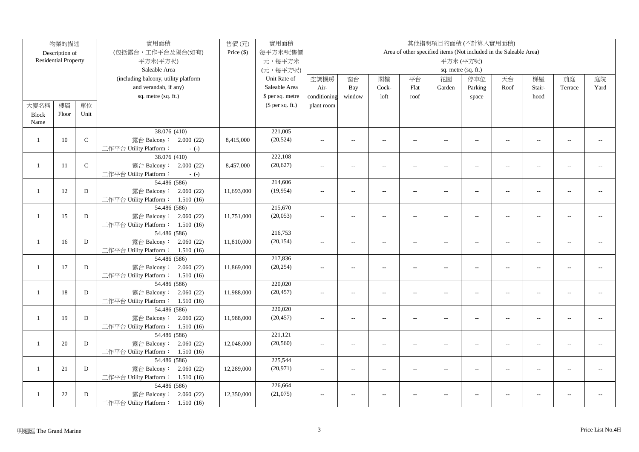|                | 物業的描述                       |           | 實用面積                                                        | 售價(元)      | 實用面積<br>其他指明項目的面積(不計算入實用面積) |                |                          |                          |                |                |                                                                   |                          |                |                |      |
|----------------|-----------------------------|-----------|-------------------------------------------------------------|------------|-----------------------------|----------------|--------------------------|--------------------------|----------------|----------------|-------------------------------------------------------------------|--------------------------|----------------|----------------|------|
|                | Description of              |           | (包括露台,工作平台及陽台(如有)                                           | Price (\$) | 每平方米/呎售價                    |                |                          |                          |                |                | Area of other specified items (Not included in the Saleable Area) |                          |                |                |      |
|                | <b>Residential Property</b> |           | 平方米(平方呎)                                                    |            | 元,每平方米                      |                |                          |                          |                |                | 平方米(平方呎)                                                          |                          |                |                |      |
|                |                             |           | Saleable Area                                               |            | (元,每平方呎)                    |                |                          |                          |                |                | sq. metre (sq. ft.)                                               |                          |                |                |      |
|                |                             |           | (including balcony, utility platform                        |            | Unit Rate of                | 空調機房           | 窗台                       | 閣樓                       | 平台             | 花園             | 停車位                                                               | 天台                       | 梯屋             | 前庭             | 庭院   |
|                |                             |           | and verandah, if any)                                       |            | Saleable Area               | Air-           | Bay                      | Cock-                    | Flat           | Garden         | Parking                                                           | Roof                     | Stair-         | Terrace        | Yard |
|                |                             |           | sq. metre (sq. ft.)                                         |            | \$ per sq. metre            | conditioning   | window                   | loft                     | roof           |                | space                                                             |                          | hood           |                |      |
| 大廈名稱           | 樓層                          | 單位        |                                                             |            | $$$ per sq. ft.)            | plant room     |                          |                          |                |                |                                                                   |                          |                |                |      |
| <b>Block</b>   | Floor                       | Unit      |                                                             |            |                             |                |                          |                          |                |                |                                                                   |                          |                |                |      |
| Name           |                             |           |                                                             |            |                             |                |                          |                          |                |                |                                                                   |                          |                |                |      |
|                |                             |           | 38.076 (410)                                                |            | 221,005                     |                |                          |                          |                |                |                                                                   |                          |                |                |      |
| $\mathbf{1}$   | 10                          | ${\bf C}$ | 露台 Balcony: 2.000 (22)                                      | 8,415,000  | (20, 524)                   | $\overline{a}$ | $\overline{\phantom{a}}$ | $\sim$                   | $\overline{a}$ | $\sim$         | $\sim$                                                            | $\sim$                   |                | $\sim$         |      |
|                |                             |           | 工作平台 Utility Platform:<br>$-(-)$                            |            |                             |                |                          |                          |                |                |                                                                   |                          |                |                |      |
|                |                             |           | 38.076 (410)                                                |            | 222,108                     |                |                          |                          |                |                |                                                                   |                          |                |                |      |
| $\mathbf{1}$   | 11                          | ${\bf C}$ | 露台 Balcony: 2.000 (22)                                      | 8,457,000  | (20, 627)                   | $\sim$         | $\overline{a}$           | $\overline{\phantom{a}}$ | $\overline{a}$ | $\overline{a}$ | $\overline{a}$                                                    | $\overline{a}$           |                | $\overline{a}$ |      |
|                |                             |           | 工作平台 Utility Platform:<br>$-(-)$                            |            |                             |                |                          |                          |                |                |                                                                   |                          |                |                |      |
|                |                             |           | 54.486 (586)                                                |            | 214,606                     |                |                          |                          |                |                |                                                                   |                          |                |                |      |
| -1             | 12                          | D         | 露台 Balcony: 2.060 (22)                                      | 11,693,000 | (19, 954)                   | $-$            | $\overline{a}$           | $\sim$                   | $\overline{a}$ | $\overline{a}$ | $\overline{a}$                                                    | $\sim$                   |                |                |      |
|                |                             |           | 工作平台 Utility Platform: 1.510 (16)                           |            |                             |                |                          |                          |                |                |                                                                   |                          |                |                |      |
|                |                             |           | 54.486 (586)                                                |            | 215,670                     |                |                          |                          |                |                |                                                                   |                          |                |                |      |
| -1             | 15                          | ${\rm D}$ | 露台 Balcony: 2.060 (22)                                      | 11,751,000 | (20,053)                    | $\sim$         | $\overline{a}$           | $\sim$                   | $\overline{a}$ | $\sim$         | $-$                                                               | $\sim$                   |                | $\sim$         |      |
|                |                             |           | 工作平台 Utility Platform: 1.510 (16)                           |            |                             |                |                          |                          |                |                |                                                                   |                          |                |                |      |
|                |                             |           | 54.486 (586)                                                |            | 216,753                     |                |                          |                          |                |                |                                                                   |                          |                |                |      |
| -1             | 16                          | D         | 露台 Balcony: 2.060 (22)                                      | 11,810,000 | (20, 154)                   | $-$            | $\overline{a}$           | $\overline{\phantom{a}}$ | $\overline{a}$ | $\overline{a}$ | $\overline{a}$                                                    | $\overline{a}$           | $\overline{a}$ | $\sim$         |      |
|                |                             |           | 工作平台 Utility Platform: 1.510 (16)                           |            |                             |                |                          |                          |                |                |                                                                   |                          |                |                |      |
|                |                             |           | 54.486 (586)                                                |            | 217,836                     |                |                          |                          |                |                |                                                                   |                          |                |                |      |
| $\overline{1}$ | 17                          | ${\bf D}$ | 露台 Balcony: 2.060 (22)                                      | 11,869,000 | (20, 254)                   | $\sim$ $\sim$  | $\overline{a}$           | $\overline{\phantom{a}}$ | $\overline{a}$ | $\sim$         | $\sim$                                                            | $\sim$                   | $\sim$         | $\sim$         |      |
|                |                             |           | 工作平台 Utility Platform: 1.510 (16)                           |            |                             |                |                          |                          |                |                |                                                                   |                          |                |                |      |
|                |                             |           | 54.486 (586)                                                |            | 220,020                     |                |                          |                          |                |                |                                                                   |                          |                |                |      |
| $\mathbf{1}$   | 18                          | D         | 露台 Balcony: 2.060 (22)                                      | 11,988,000 | (20, 457)                   | $\overline{a}$ | $\overline{\phantom{a}}$ | $\overline{\phantom{a}}$ | $\overline{a}$ | $\overline{a}$ | $\overline{a}$                                                    | $\overline{\phantom{a}}$ | $\overline{a}$ | $\sim$         |      |
|                |                             |           | 工作平台 Utility Platform: 1.510 (16)                           |            |                             |                |                          |                          |                |                |                                                                   |                          |                |                |      |
|                |                             |           | 54.486 (586)                                                |            | 220,020                     |                |                          |                          |                |                |                                                                   |                          |                |                |      |
| $\mathbf{1}$   | 19                          | D         | 露台 Balcony: 2.060 (22)                                      | 11,988,000 | (20, 457)                   | $\sim$         | $\overline{\phantom{a}}$ | $\sim$                   | $\overline{a}$ | $\overline{a}$ | $\overline{\phantom{a}}$                                          | $\overline{\phantom{a}}$ | $\overline{a}$ | $\sim$ $\sim$  |      |
|                |                             |           | 工作平台 Utility Platform: 1.510 (16)                           |            |                             |                |                          |                          |                |                |                                                                   |                          |                |                |      |
| $\mathbf{1}$   |                             | D         | 54.486 (586)                                                |            | 221,121<br>(20, 560)        |                |                          |                          |                |                |                                                                   |                          |                |                |      |
|                | 20                          |           | 露台 Balcony: 2.060 (22)<br>工作平台 Utility Platform: 1.510 (16) | 12,048,000 |                             | $\overline{a}$ | $\overline{\phantom{a}}$ | $\overline{a}$           | $\overline{a}$ | $\overline{a}$ | $\sim$ $\sim$                                                     | $\overline{\phantom{a}}$ | $\sim$         | $\overline{a}$ |      |
|                |                             |           | 54.486 (586)                                                |            | 225,544                     |                |                          |                          |                |                |                                                                   |                          |                |                |      |
| $\mathbf{1}$   | 21                          | D         | 露台 Balcony: 2.060 (22)                                      | 12,289,000 | (20, 971)                   | $\sim$ $\sim$  | $\overline{a}$           | $\sim$                   | $\overline{a}$ | $\sim$         | $\sim$                                                            | $\sim$                   |                | $\sim$         |      |
|                |                             |           | 工作平台 Utility Platform: 1.510 (16)                           |            |                             |                |                          |                          |                |                |                                                                   |                          |                |                |      |
|                |                             |           | 54.486 (586)                                                |            | 226,664                     |                |                          |                          |                |                |                                                                   |                          |                |                |      |
| -1             | 22                          | D         | 露台 Balcony: 2.060 (22)                                      | 12,350,000 | (21,075)                    | $-$            | $\overline{\phantom{a}}$ | $\sim$                   | $\overline{a}$ | $ -$           | $-$                                                               | $\sim$                   |                | $\sim$         |      |
|                |                             |           | 工作平台 Utility Platform: 1.510 (16)                           |            |                             |                |                          |                          |                |                |                                                                   |                          |                |                |      |
|                |                             |           |                                                             |            |                             |                |                          |                          |                |                |                                                                   |                          |                |                |      |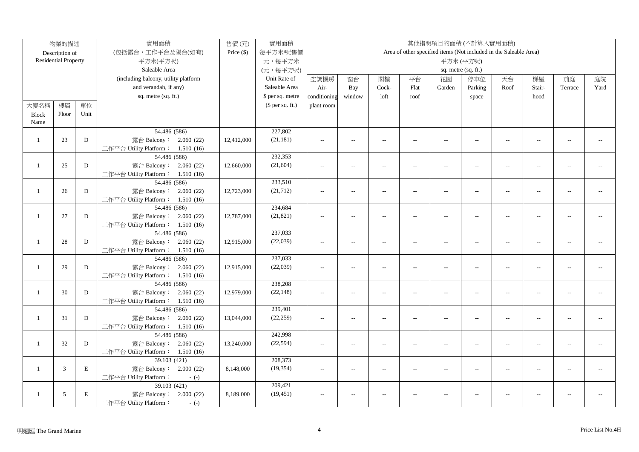|                | 物業的描述                       |           | 實用面積                                             | 售價(元)        | 實用面積             |                          |                          |                          |                |                          | 其他指明項目的面積(不計算入實用面積)                                               |                          |                |                |      |
|----------------|-----------------------------|-----------|--------------------------------------------------|--------------|------------------|--------------------------|--------------------------|--------------------------|----------------|--------------------------|-------------------------------------------------------------------|--------------------------|----------------|----------------|------|
|                | Description of              |           | (包括露台,工作平台及陽台(如有)                                | Price $(\$)$ | 每平方米/呎售價         |                          |                          |                          |                |                          | Area of other specified items (Not included in the Saleable Area) |                          |                |                |      |
|                | <b>Residential Property</b> |           | 平方米(平方呎)                                         |              | 元,每平方米           |                          |                          |                          |                |                          | 平方米(平方呎)                                                          |                          |                |                |      |
|                |                             |           | Saleable Area                                    |              | (元,每平方呎)         |                          |                          |                          |                |                          | sq. metre (sq. ft.)                                               |                          |                |                |      |
|                |                             |           | (including balcony, utility platform             |              | Unit Rate of     | 空調機房                     | 窗台                       | 閣樓                       | 平台             | 花園                       | 停車位                                                               | 天台                       | 梯屋             | 前庭             | 庭院   |
|                |                             |           | and verandah, if any)                            |              | Saleable Area    | Air-                     | Bay                      | Cock-                    | Flat           | Garden                   | Parking                                                           | Roof                     | Stair-         | Terrace        | Yard |
|                |                             |           | sq. metre (sq. ft.)                              |              | \$ per sq. metre | conditioning             | window                   | loft                     | roof           |                          | space                                                             |                          | hood           |                |      |
| 大廈名稱           | 樓層                          | 單位        |                                                  |              | $$$ per sq. ft.) | plant room               |                          |                          |                |                          |                                                                   |                          |                |                |      |
| <b>Block</b>   | Floor                       | Unit      |                                                  |              |                  |                          |                          |                          |                |                          |                                                                   |                          |                |                |      |
| Name           |                             |           |                                                  |              |                  |                          |                          |                          |                |                          |                                                                   |                          |                |                |      |
|                |                             |           | 54.486 (586)                                     |              | 227,802          |                          |                          |                          |                |                          |                                                                   |                          |                |                |      |
| $\mathbf{1}$   | 23                          | D         | 露台 Balcony: 2.060 (22)                           | 12,412,000   | (21, 181)        | $\sim$                   | $\sim$                   | $\sim$                   | $\overline{a}$ | $\sim$                   | $\sim$                                                            | $\sim$                   | $\sim$         | $\overline{a}$ |      |
|                |                             |           | 工作平台 Utility Platform: 1.510 (16)                |              |                  |                          |                          |                          |                |                          |                                                                   |                          |                |                |      |
|                |                             |           | 54.486 (586)                                     |              | 232,353          |                          |                          |                          |                |                          |                                                                   |                          |                |                |      |
| $\mathbf{1}$   | 25                          | D         | 露台 Balcony: 2.060 (22)                           | 12,660,000   | (21, 604)        | $\overline{a}$           | $\overline{\phantom{a}}$ | $\overline{a}$           | $\overline{a}$ | $\overline{a}$           | $\sim$                                                            | $\sim$                   |                |                |      |
|                |                             |           | 工作平台 Utility Platform: 1.510 (16)                |              |                  |                          |                          |                          |                |                          |                                                                   |                          |                |                |      |
|                |                             |           | 54.486 (586)                                     |              | 233,510          |                          |                          |                          |                |                          |                                                                   |                          |                |                |      |
| $\mathbf{1}$   | 26                          | D         | 露台 Balcony: 2.060 (22)                           | 12,723,000   | (21, 712)        | $-$                      | $\overline{a}$           | $\overline{a}$           | $\overline{a}$ | $\sim$                   | $\sim$                                                            | $\sim$                   |                |                |      |
|                |                             |           | 工作平台 Utility Platform: 1.510 (16)                |              |                  |                          |                          |                          |                |                          |                                                                   |                          |                |                |      |
|                |                             |           | 54.486 (586)                                     |              | 234,684          |                          |                          |                          |                |                          |                                                                   |                          |                |                |      |
| $\mathbf{1}$   | 27                          | ${\rm D}$ | 露台 Balcony: 2.060 (22)                           | 12,787,000   | (21, 821)        | $\sim$                   | $\overline{a}$           | $\sim$                   | $\overline{a}$ | $\overline{a}$           | $\sim$ $\sim$                                                     | $\sim$                   | $\overline{a}$ | $\sim$ $\sim$  |      |
|                |                             |           | 工作平台 Utility Platform: 1.510 (16)                |              |                  |                          |                          |                          |                |                          |                                                                   |                          |                |                |      |
|                |                             |           | 54.486 (586)                                     |              | 237,033          |                          |                          |                          |                |                          |                                                                   |                          |                |                |      |
| $\mathbf{1}$   | 28                          | D         | 露台 Balcony: 2.060 (22)                           | 12,915,000   | (22,039)         | $\sim$                   | $\overline{a}$           | $\overline{\phantom{a}}$ | $\overline{a}$ | $\overline{a}$           | $\overline{a}$                                                    | $\overline{\phantom{a}}$ | $\overline{a}$ | $\overline{a}$ |      |
|                |                             |           | 工作平台 Utility Platform: 1.510 (16)                |              |                  |                          |                          |                          |                |                          |                                                                   |                          |                |                |      |
|                |                             |           | 54.486 (586)                                     |              | 237,033          |                          |                          |                          |                |                          |                                                                   |                          |                |                |      |
| $\overline{1}$ | 29                          | D         | 露台 Balcony: 2.060 (22)                           | 12,915,000   | (22,039)         | $\sim$ $\sim$            | $\sim$                   | $\sim$                   | $\overline{a}$ | $\sim$                   | $\overline{a}$                                                    | $\sim$                   | $\sim$         | $\sim$ $\sim$  |      |
|                |                             |           | 工作平台 Utility Platform: 1.510 (16)                |              |                  |                          |                          |                          |                |                          |                                                                   |                          |                |                |      |
|                |                             |           | 54.486 (586)                                     |              | 238,208          |                          |                          |                          |                |                          |                                                                   |                          |                |                |      |
| -1             | 30                          | D         | 露台 Balcony: 2.060 (22)                           | 12,979,000   | (22, 148)        | $\overline{a}$           | $\overline{a}$           | $\overline{a}$           | $\overline{a}$ | $\overline{a}$           | $\overline{a}$                                                    | $\overline{\phantom{a}}$ | $\sim$         | $\overline{a}$ |      |
|                |                             |           | 工作平台 Utility Platform: 1.510 (16)                |              |                  |                          |                          |                          |                |                          |                                                                   |                          |                |                |      |
|                |                             |           | 54.486 (586)                                     |              | 239,401          |                          |                          |                          |                |                          |                                                                   |                          |                |                |      |
| -1             | 31                          | D         | 露台 Balcony: 2.060 (22)                           | 13,044,000   | (22, 259)        | $\overline{\phantom{a}}$ | $\overline{\phantom{a}}$ | $\overline{\phantom{a}}$ | $\overline{a}$ | $\overline{a}$           | $\overline{\phantom{a}}$                                          | $\overline{\phantom{a}}$ | $\overline{a}$ | $\sim$ $\sim$  |      |
|                |                             |           | 工作平台 Utility Platform: 1.510 (16)                |              | 242,998          |                          |                          |                          |                |                          |                                                                   |                          |                |                |      |
|                |                             |           | 54.486 (586)                                     |              |                  |                          |                          |                          |                |                          |                                                                   |                          |                |                |      |
| $\overline{1}$ | 32                          | D         | 露台 Balcony: 2.060 (22)                           | 13,240,000   | (22, 594)        | $\sim$                   | $\overline{\phantom{a}}$ | $\overline{\phantom{a}}$ | $\overline{a}$ | $\overline{a}$           | $\overline{\phantom{a}}$                                          | $\overline{\phantom{a}}$ | $\sim$         | $\overline{a}$ |      |
|                |                             |           | 工作平台 Utility Platform: 1.510 (16)                |              | 208,373          |                          |                          |                          |                |                          |                                                                   |                          |                |                |      |
| $\mathbf{1}$   | 3                           | E         | 39.103 (421)                                     |              | (19, 354)        | $\sim$ $\sim$            | $\sim$ $\sim$            |                          |                | $\sim$                   |                                                                   |                          |                |                |      |
|                |                             |           | 露台 Balcony: 2.000 (22)<br>工作平台 Utility Platform: | 8,148,000    |                  |                          |                          | $\sim$                   | $\overline{a}$ |                          | $\overline{a}$                                                    | $\sim$                   |                | $\overline{a}$ |      |
|                |                             |           | $-(-)$<br>39.103 (421)                           |              | 209,421          |                          |                          |                          |                |                          |                                                                   |                          |                |                |      |
| $\mathbf{1}$   | 5                           | E         | 露台 Balcony: 2.000 (22)                           | 8,189,000    | (19, 451)        | $\sim$                   | $\overline{a}$           | $\sim$                   | $-$            | $\overline{\phantom{a}}$ | $\overline{\phantom{a}}$                                          | $\overline{a}$           |                | $\overline{a}$ |      |
|                |                             |           | 工作平台 Utility Platform:                           |              |                  |                          |                          |                          |                |                          |                                                                   |                          |                |                |      |
|                |                             |           | $-(-)$                                           |              |                  |                          |                          |                          |                |                          |                                                                   |                          |                |                |      |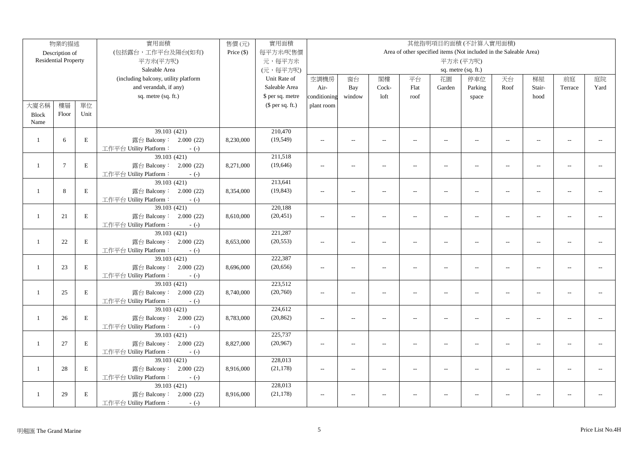|                | 物業的描述                       |             | 實用面積                                             | 售價(元)        | 實用面積             |                |                          |                          |                |                          | 其他指明項目的面積(不計算入實用面積)                                               |                          |                |                |      |
|----------------|-----------------------------|-------------|--------------------------------------------------|--------------|------------------|----------------|--------------------------|--------------------------|----------------|--------------------------|-------------------------------------------------------------------|--------------------------|----------------|----------------|------|
|                | Description of              |             | (包括露台,工作平台及陽台(如有)                                | Price $(\$)$ | 每平方米/呎售價         |                |                          |                          |                |                          | Area of other specified items (Not included in the Saleable Area) |                          |                |                |      |
|                | <b>Residential Property</b> |             | 平方米(平方呎)                                         |              | 元,每平方米           |                |                          |                          |                |                          | 平方米(平方呎)                                                          |                          |                |                |      |
|                |                             |             | Saleable Area                                    |              | (元,每平方呎)         |                |                          |                          |                |                          | sq. metre (sq. ft.)                                               |                          |                |                |      |
|                |                             |             | (including balcony, utility platform             |              | Unit Rate of     | 空調機房           | 窗台                       | 閣樓                       | 平台             | 花園                       | 停車位                                                               | 天台                       | 梯屋             | 前庭             | 庭院   |
|                |                             |             | and verandah, if any)                            |              | Saleable Area    | Air-           | Bay                      | Cock-                    | Flat           | Garden                   | Parking                                                           | Roof                     | Stair-         | Terrace        | Yard |
|                |                             |             | sq. metre (sq. ft.)                              |              | \$ per sq. metre | conditioning   | window                   | loft                     | roof           |                          | space                                                             |                          | hood           |                |      |
| 大廈名稱           | 樓層                          | 單位          |                                                  |              | $$$ per sq. ft.) | plant room     |                          |                          |                |                          |                                                                   |                          |                |                |      |
| <b>Block</b>   | Floor                       | Unit        |                                                  |              |                  |                |                          |                          |                |                          |                                                                   |                          |                |                |      |
| Name           |                             |             |                                                  |              |                  |                |                          |                          |                |                          |                                                                   |                          |                |                |      |
|                |                             |             | 39.103 (421)                                     |              | 210,470          |                |                          |                          |                |                          |                                                                   |                          |                |                |      |
| -1             | 6                           | E           | 露台 Balcony: 2.000 (22)                           | 8,230,000    | (19, 549)        | $\sim$         | $\sim$                   | $\sim$                   | $\overline{a}$ | $\sim$                   | $\sim$                                                            | $\sim$                   |                | $\overline{a}$ |      |
|                |                             |             | 工作平台 Utility Platform:<br>$-(-)$                 |              |                  |                |                          |                          |                |                          |                                                                   |                          |                |                |      |
|                |                             |             | 39.103 (421)                                     |              | 211,518          |                |                          |                          |                |                          |                                                                   |                          |                |                |      |
| $\mathbf{1}$   | $7\phantom{.0}$             | E           | 露台 Balcony: 2.000 (22)                           | 8,271,000    | (19, 646)        | $\overline{a}$ | $\overline{\phantom{a}}$ | $\overline{a}$           | $\overline{a}$ | $\overline{a}$           | $\sim$                                                            | $\sim$                   |                |                |      |
|                |                             |             | 工作平台 Utility Platform:<br>$-(-)$                 |              |                  |                |                          |                          |                |                          |                                                                   |                          |                |                |      |
|                |                             |             | 39.103(421)                                      |              | 213,641          |                |                          |                          |                |                          |                                                                   |                          |                |                |      |
| $\mathbf{1}$   | 8                           | E           | 露台 Balcony: 2.000 (22)                           | 8,354,000    | (19, 843)        | $-$            | $\overline{a}$           | $\sim$                   | $\overline{a}$ | $\sim$                   | $\sim$                                                            | $\sim$                   |                |                |      |
|                |                             |             | 工作平台 Utility Platform:<br>$-(-)$                 |              |                  |                |                          |                          |                |                          |                                                                   |                          |                |                |      |
|                |                             |             | 39.103 (421)                                     |              | 220,188          |                |                          |                          |                |                          |                                                                   |                          |                |                |      |
| $\mathbf{1}$   | 21                          | $\mathbf E$ | 露台 Balcony: 2.000 (22)                           | 8,610,000    | (20, 451)        | $\sim$         | $\overline{a}$           | $\sim$                   | $\overline{a}$ | $\overline{a}$           | $\overline{a}$                                                    | $\sim$                   | $\overline{a}$ | $\overline{a}$ |      |
|                |                             |             | 工作平台 Utility Platform:<br>$-(-)$                 |              |                  |                |                          |                          |                |                          |                                                                   |                          |                |                |      |
|                |                             |             | 39.103 (421)                                     |              | 221,287          |                |                          |                          |                |                          |                                                                   |                          |                |                |      |
| $\mathbf{1}$   | 22                          | $\mathbf E$ | 露台 Balcony: 2.000 (22)                           | 8,653,000    | (20, 553)        | $\sim$         | $\overline{\phantom{a}}$ | $\overline{\phantom{a}}$ | $\overline{a}$ | $\overline{a}$           | $\overline{a}$                                                    | $\overline{\phantom{a}}$ | $\overline{a}$ | $\overline{a}$ |      |
|                |                             |             | 工作平台 Utility Platform:<br>$-(-)$                 |              |                  |                |                          |                          |                |                          |                                                                   |                          |                |                |      |
|                |                             |             | 39.103(421)                                      |              | 222,387          |                |                          |                          |                |                          |                                                                   |                          |                |                |      |
| $\overline{1}$ | 23                          | $\mathbf E$ | 露台 Balcony: 2.000 (22)                           | 8,696,000    | (20, 656)        | $\sim$         | $\sim$ $\sim$            | $\sim$                   | $\overline{a}$ | $\sim$                   | $\overline{a}$                                                    | $\overline{\phantom{a}}$ | $\sim$         | $\sim$ $\sim$  |      |
|                |                             |             | 工作平台 Utility Platform:<br>$-(-)$                 |              |                  |                |                          |                          |                |                          |                                                                   |                          |                |                |      |
|                |                             |             | 39.103 (421)                                     |              | 223,512          |                |                          |                          |                |                          |                                                                   |                          |                |                |      |
| -1             | 25                          | E           | 露台 Balcony: 2.000 (22)                           | 8,740,000    | (20,760)         | $\overline{a}$ | $\overline{\phantom{a}}$ | $\overline{a}$           | $\overline{a}$ | $\overline{a}$           | $\overline{a}$                                                    | $\overline{\phantom{a}}$ | $\sim$         | $\overline{a}$ |      |
|                |                             |             | 工作平台 Utility Platform:<br>$-(-)$                 |              |                  |                |                          |                          |                |                          |                                                                   |                          |                |                |      |
|                |                             |             | 39.103 (421)                                     |              | 224,612          |                |                          |                          |                |                          |                                                                   |                          |                |                |      |
| -1             | 26                          | E           | 露台 Balcony: 2.000 (22)                           | 8,783,000    | (20, 862)        | $\overline{a}$ | $\overline{\phantom{a}}$ | $\overline{\phantom{a}}$ | $\overline{a}$ | $\overline{a}$           | $\overline{\phantom{a}}$                                          | $\overline{\phantom{a}}$ | $\overline{a}$ | $-1$           |      |
|                |                             |             | 工作平台 Utility Platform:<br>$-(-)$                 |              | 225,737          |                |                          |                          |                |                          |                                                                   |                          |                |                |      |
| $\mathbf{1}$   |                             | E           | 39.103 (421)                                     |              | (20, 967)        |                |                          |                          |                |                          |                                                                   |                          |                | $\overline{a}$ |      |
|                | 27                          |             | 露台 Balcony: 2.000 (22)<br>工作平台 Utility Platform: | 8,827,000    |                  | $\overline{a}$ | $\overline{\phantom{a}}$ | $\overline{\phantom{a}}$ | $\overline{a}$ | $\overline{a}$           | $\overline{\phantom{a}}$                                          | $\overline{\phantom{a}}$ | $\sim$         |                |      |
|                |                             |             | $-(-)$<br>39.103 (421)                           |              | 228,013          |                |                          |                          |                |                          |                                                                   |                          |                |                |      |
| $\mathbf{1}$   | 28                          | E           | 露台 Balcony: 2.000 (22)                           | 8,916,000    | (21, 178)        | $\sim$ $\sim$  | $\sim$ $\sim$            | $\sim$                   | $\overline{a}$ | $\sim$                   | $\overline{a}$                                                    | $\sim$                   |                |                |      |
|                |                             |             | 工作平台 Utility Platform:<br>$-(-)$                 |              |                  |                |                          |                          |                |                          |                                                                   |                          |                |                |      |
|                |                             |             | 39.103 (421)                                     |              | 228,013          |                |                          |                          |                |                          |                                                                   |                          |                |                |      |
| $\mathbf{1}$   | 29                          | E           | 露台 Balcony: 2.000 (22)                           | 8,916,000    | (21, 178)        | $\sim$         | $\overline{a}$           | $\sim$                   | $-$            | $\overline{\phantom{a}}$ | $\overline{a}$                                                    | $\overline{a}$           |                |                |      |
|                |                             |             | 工作平台 Utility Platform:<br>$-(-)$                 |              |                  |                |                          |                          |                |                          |                                                                   |                          |                |                |      |
|                |                             |             |                                                  |              |                  |                |                          |                          |                |                          |                                                                   |                          |                |                |      |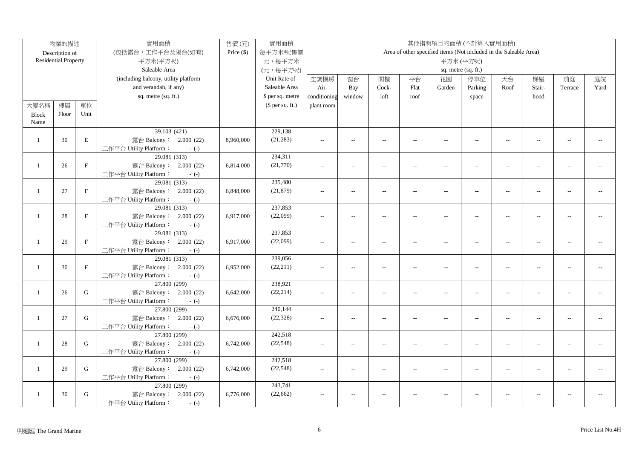|              | 物業的描述                       |              | 實用面積                                     | 售價(元)      | 實用面積<br>其他指明項目的面積(不計算入實用面積) |                |                          |                          |                          |                          |                                                                   |                          |                |                          |      |
|--------------|-----------------------------|--------------|------------------------------------------|------------|-----------------------------|----------------|--------------------------|--------------------------|--------------------------|--------------------------|-------------------------------------------------------------------|--------------------------|----------------|--------------------------|------|
|              | Description of              |              | (包括露台,工作平台及陽台(如有)                        | Price (\$) | 每平方米/呎售價                    |                |                          |                          |                          |                          | Area of other specified items (Not included in the Saleable Area) |                          |                |                          |      |
|              | <b>Residential Property</b> |              | 平方米(平方呎)                                 |            | 元,每平方米                      |                |                          |                          |                          |                          | 平方米(平方呎)                                                          |                          |                |                          |      |
|              |                             |              | Saleable Area                            |            | (元,每平方呎)                    |                |                          |                          |                          |                          | sq. metre (sq. ft.)                                               |                          |                |                          |      |
|              |                             |              | (including balcony, utility platform     |            | Unit Rate of                | 空調機房           | 窗台                       | 閣樓                       | 平台                       | 花園                       | 停車位                                                               | 天台                       | 梯屋             | 前庭                       | 庭院   |
|              |                             |              | and verandah, if any)                    |            | Saleable Area               | Air-           | Bay                      | Cock-                    | Flat                     | Garden                   | Parking                                                           | Roof                     | Stair-         | Terrace                  | Yard |
|              |                             |              | sq. metre (sq. ft.)                      |            | \$ per sq. metre            | conditioning   | window                   | loft                     | roof                     |                          | space                                                             |                          | hood           |                          |      |
| 大廈名稱         | 樓層                          | 單位           |                                          |            | $$$ per sq. ft.)            | plant room     |                          |                          |                          |                          |                                                                   |                          |                |                          |      |
| <b>Block</b> | Floor                       | Unit         |                                          |            |                             |                |                          |                          |                          |                          |                                                                   |                          |                |                          |      |
| Name         |                             |              |                                          |            |                             |                |                          |                          |                          |                          |                                                                   |                          |                |                          |      |
|              |                             |              | 39.103 (421)                             |            | 229,138                     |                |                          |                          |                          |                          |                                                                   |                          |                |                          |      |
| $\mathbf{1}$ | 30                          | $\mathbf E$  | 露台 Balcony: 2.000 (22)                   | 8,960,000  | (21, 283)                   | $\overline{a}$ | $\sim$                   | $\sim$                   | $\overline{a}$           | $\sim$                   | $\sim$                                                            | $\sim$                   | $\sim$         | $\sim$                   |      |
|              |                             |              | 工作平台 Utility Platform:<br>$-(-)$         |            |                             |                |                          |                          |                          |                          |                                                                   |                          |                |                          |      |
|              |                             |              | 29.081 (313)                             |            | 234,311                     |                |                          |                          |                          |                          |                                                                   |                          |                |                          |      |
| $\mathbf{1}$ | 26                          | $\mathbf{F}$ | 露台 Balcony: 2.000 (22)                   | 6,814,000  | (21,770)                    | $\sim$         | $\hspace{0.05cm} \ldots$ | $\overline{\phantom{a}}$ | $\overline{a}$           | $\overline{a}$           | $-$                                                               | $\sim$                   |                |                          |      |
|              |                             |              | 工作平台 Utility Platform:<br>$-(-)$         |            |                             |                |                          |                          |                          |                          |                                                                   |                          |                |                          |      |
|              |                             |              | 29.081(313)                              |            | 235,480                     |                |                          |                          |                          |                          |                                                                   |                          |                |                          |      |
| -1           | 27                          | $\rm F$      | 露台 Balcony: 2.000 (22)                   | 6,848,000  | (21, 879)                   | $\sim$ $\sim$  | $\overline{a}$           | $\sim$                   | $\overline{a}$           | $\sim$                   | $\overline{a}$                                                    | $\sim$                   |                | $\overline{a}$           |      |
|              |                             |              | 工作平台 Utility Platform:<br>$-(-)$         |            |                             |                |                          |                          |                          |                          |                                                                   |                          |                |                          |      |
|              |                             |              | 29.081 (313)                             |            | 237,853                     |                |                          |                          |                          |                          |                                                                   |                          |                |                          |      |
| -1           | 28                          | $\rm F$      | 露台 Balcony: 2.000 (22)                   | 6,917,000  | (22,099)                    | $-$            | $\overline{\phantom{a}}$ | $\sim$                   | $\overline{a}$           | $\overline{\phantom{a}}$ | $-$                                                               | $\sim$                   |                | $\overline{a}$           |      |
|              |                             |              | 工作平台 Utility Platform:<br>$-(-)$         |            |                             |                |                          |                          |                          |                          |                                                                   |                          |                |                          |      |
|              |                             |              | 29.081 (313)                             |            | 237,853                     |                |                          |                          |                          |                          |                                                                   |                          |                |                          |      |
| $\mathbf{1}$ | 29                          | $\rm F$      | 露台 Balcony: 2.000 (22)                   | 6,917,000  | (22,099)                    | $\sim$         | $\overline{\phantom{a}}$ | $\sim$                   | $\overline{a}$           | $\sim$                   | $\mathcal{L}_{\mathcal{F}}$                                       | $\sim$                   | $\overline{a}$ | $\overline{\phantom{a}}$ |      |
|              |                             |              | 工作平台 Utility Platform:<br>$-(-)$         |            |                             |                |                          |                          |                          |                          |                                                                   |                          |                |                          |      |
|              |                             |              | 29.081(313)                              |            | 239,056                     |                |                          |                          |                          |                          |                                                                   |                          |                |                          |      |
| -1           | 30                          | $\rm F$      | 露台 Balcony: 2.000 (22)                   | 6,952,000  | (22, 211)                   | $\overline{a}$ | $\overline{\phantom{a}}$ | $\sim$                   | $\overline{\phantom{a}}$ | $\sim$                   | $\overline{a}$                                                    | $\overline{\phantom{a}}$ | $\overline{a}$ | $\overline{a}$           |      |
|              |                             |              | 工作平台 Utility Platform:<br>$-(-)$         |            |                             |                |                          |                          |                          |                          |                                                                   |                          |                |                          |      |
|              |                             |              | 27.800 (299)                             |            | 238,921                     |                |                          |                          |                          |                          |                                                                   |                          |                |                          |      |
| -1           | 26                          | G            | 露台 Balcony: 2.000 (22)                   | 6,642,000  | (22, 214)                   | $-$            | $\overline{a}$           | $\overline{a}$           | $\overline{\phantom{a}}$ | $\overline{a}$           | $\overline{a}$                                                    | $\overline{a}$           | $\overline{a}$ | $\overline{a}$           |      |
|              |                             |              | 工作平台 Utility Platform:<br>$-(-)$         |            |                             |                |                          |                          |                          |                          |                                                                   |                          |                |                          |      |
|              |                             |              | 27.800 (299)                             |            | 240,144                     |                |                          |                          |                          |                          |                                                                   |                          |                |                          |      |
| -1           | 27                          | $\mathbf G$  | 露台 Balcony: 2.000 (22)                   | 6,676,000  | (22, 328)                   | $-$            | $\overline{\phantom{a}}$ | $\sim$                   | $\overline{a}$           | $\overline{a}$           | $\sim$                                                            | $\sim$                   | $\sim$         | $\overline{a}$           |      |
|              |                             |              | 工作平台 Utility Platform:<br>$-(-)$         |            | 242,518                     |                |                          |                          |                          |                          |                                                                   |                          |                |                          |      |
| $\mathbf{1}$ | 28                          | G            | 27.800 (299)<br>露台 Balcony:<br>2.000(22) | 6,742,000  | (22, 548)                   |                |                          |                          |                          |                          |                                                                   |                          |                |                          |      |
|              |                             |              | 工作平台 Utility Platform:<br>$-(-)$         |            |                             | $\overline{a}$ | $\overline{\phantom{a}}$ | $\overline{\phantom{a}}$ | $\overline{a}$           | $\overline{a}$           | $-$                                                               | $\overline{a}$           | Ξ.             | $\overline{a}$           |      |
|              |                             |              | 27.800 (299)                             |            | 242,518                     |                |                          |                          |                          |                          |                                                                   |                          |                |                          |      |
| -1           | 29                          | G            | 露台 Balcony: 2.000 (22)                   | 6,742,000  | (22, 548)                   | $\sim$ $\sim$  | $\overline{\phantom{a}}$ | $\overline{a}$           | $\overline{a}$           | $\overline{a}$           | $\overline{a}$                                                    | $\sim$                   |                | $\sim$                   |      |
|              |                             |              | 工作平台 Utility Platform:<br>$-(-)$         |            |                             |                |                          |                          |                          |                          |                                                                   |                          |                |                          |      |
|              |                             |              | 27.800 (299)                             |            | 243,741                     |                |                          |                          |                          |                          |                                                                   |                          |                |                          |      |
| -1           | 30                          | ${\bf G}$    | 露台 Balcony: 2.000 (22)                   | 6,776,000  | (22, 662)                   | $\overline{a}$ | $\overline{a}$           | $\sim$                   | $\overline{a}$           | $\overline{a}$           | $\overline{a}$                                                    | $\overline{a}$           |                |                          |      |
|              |                             |              | 工作平台 Utility Platform:<br>$-(-)$         |            |                             |                |                          |                          |                          |                          |                                                                   |                          |                |                          |      |
|              |                             |              |                                          |            |                             |                |                          |                          |                          |                          |                                                                   |                          |                |                          |      |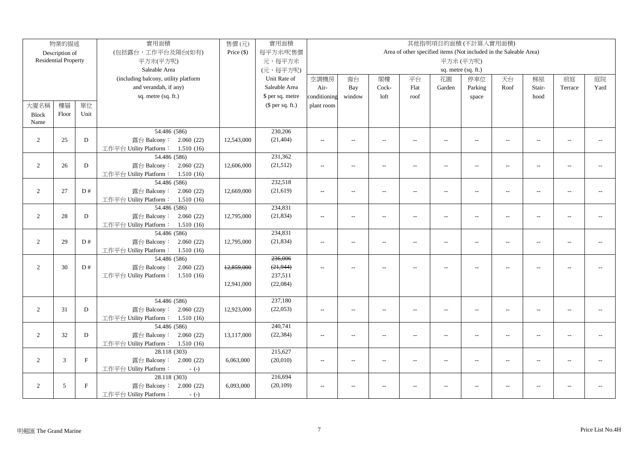|                | 物業的描述                       |             | 實用面積                                                                       | 售價(元)        | 實用面積                 |                          |                          |                          |                | 其他指明項目的面積(不計算入實用面積)                                               |                          |                          |                          |                |      |
|----------------|-----------------------------|-------------|----------------------------------------------------------------------------|--------------|----------------------|--------------------------|--------------------------|--------------------------|----------------|-------------------------------------------------------------------|--------------------------|--------------------------|--------------------------|----------------|------|
|                | Description of              |             | (包括露台,工作平台及陽台(如有)                                                          | Price $(\$)$ | 每平方米/呎售價             |                          |                          |                          |                | Area of other specified items (Not included in the Saleable Area) |                          |                          |                          |                |      |
|                | <b>Residential Property</b> |             | 平方米(平方呎)                                                                   |              | 元,每平方米               |                          |                          |                          |                |                                                                   | 平方米(平方呎)                 |                          |                          |                |      |
|                |                             |             | Saleable Area                                                              |              | (元,每平方呎)             |                          |                          |                          |                |                                                                   | sq. metre (sq. ft.)      |                          |                          |                |      |
|                |                             |             | (including balcony, utility platform                                       |              | Unit Rate of         | 空調機房                     | 窗台                       | 閣樓                       | 平台             | 花園                                                                | 停車位                      | 天台                       | 梯屋                       | 前庭             | 庭院   |
|                |                             |             | and verandah, if any)                                                      |              | Saleable Area        | Air-                     | Bay                      | Cock-                    | Flat           | Garden                                                            | Parking                  | Roof                     | Stair-                   | Terrace        | Yard |
|                |                             |             | sq. metre (sq. ft.)                                                        |              | \$ per sq. metre     | conditioning             | window                   | loft                     | roof           |                                                                   | space                    |                          | hood                     |                |      |
| 大廈名稱           | 樓層                          | 單位          |                                                                            |              | $$$ per sq. ft.)     | plant room               |                          |                          |                |                                                                   |                          |                          |                          |                |      |
| <b>Block</b>   | Floor                       | Unit        |                                                                            |              |                      |                          |                          |                          |                |                                                                   |                          |                          |                          |                |      |
| Name           |                             |             |                                                                            |              |                      |                          |                          |                          |                |                                                                   |                          |                          |                          |                |      |
|                |                             |             | 54.486 (586)                                                               |              | 230,206              |                          |                          |                          |                |                                                                   |                          |                          |                          |                |      |
| 2              | 25                          | D           | 露台 Balcony: 2.060 (22)                                                     | 12,543,000   | (21, 404)            | $\overline{a}$           | $\overline{a}$           | $\sim$                   | $\overline{a}$ | $\overline{\phantom{a}}$                                          | $\overline{a}$           | $\sim$                   | $\sim$                   | $\sim$         |      |
|                |                             |             | 工作平台 Utility Platform: 1.510 (16)                                          |              |                      |                          |                          |                          |                |                                                                   |                          |                          |                          |                |      |
|                |                             |             | 54.486 (586)                                                               |              | 231,362              |                          |                          |                          |                |                                                                   |                          |                          |                          |                |      |
| 2              | 26                          | D           | 露台 Balcony: 2.060 (22)                                                     | 12,606,000   | (21,512)             | $\sim$                   | $\overline{a}$           | $\overline{a}$           | $\overline{a}$ | $\overline{\phantom{a}}$                                          | $\overline{a}$           | $\sim$                   | $\sim$                   | $\sim$ $\sim$  |      |
|                |                             |             | 工作平台 Utility Platform: 1.510 (16)                                          |              |                      |                          |                          |                          |                |                                                                   |                          |                          |                          |                |      |
|                |                             |             | 54.486 (586)                                                               |              | 232,518              |                          |                          |                          |                |                                                                   |                          |                          |                          |                |      |
| 2              | 27                          | D#          | 露台 Balcony: 2.060 (22)                                                     | 12,669,000   | (21, 619)            | $\overline{a}$           | $\overline{a}$           | $\overline{a}$           | $\overline{a}$ | $\overline{\phantom{a}}$                                          | $\overline{\phantom{a}}$ | $\overline{\phantom{a}}$ | $\overline{a}$           | $\overline{a}$ |      |
|                |                             |             | 工作平台 Utility Platform: 1.510 (16)                                          |              |                      |                          |                          |                          |                |                                                                   |                          |                          |                          |                |      |
|                |                             |             | 54.486 (586)                                                               |              | 234,831              |                          |                          |                          |                |                                                                   |                          |                          |                          |                |      |
| 2              | 28                          | D           | 露台 Balcony: 2.060 (22)                                                     | 12,795,000   | (21, 834)            | $\sim$ $\sim$            | $\overline{a}$           | $\sim$                   | $\overline{a}$ | $\overline{a}$                                                    | $\overline{a}$           | $\overline{a}$           | $\overline{a}$           |                |      |
|                |                             |             | 工作平台 Utility Platform: 1.510 (16)                                          |              |                      |                          |                          |                          |                |                                                                   |                          |                          |                          |                |      |
|                |                             |             | 54.486 (586)                                                               |              | 234,831              |                          |                          |                          |                |                                                                   |                          |                          |                          |                |      |
| 2              | 29                          | D#          | 露台 Balcony: 2.060 (22)                                                     | 12,795,000   | (21, 834)            | $\overline{a}$           | $\overline{a}$           | $\overline{a}$           | $\overline{a}$ | $\overline{\phantom{a}}$                                          | $\overline{a}$           | $\overline{a}$           | $\overline{a}$           | $\overline{a}$ |      |
|                |                             |             | 工作平台 Utility Platform: 1.510 (16)                                          |              |                      |                          |                          |                          |                |                                                                   |                          |                          |                          |                |      |
|                |                             |             | 54.486 (586)                                                               |              | 236,006              |                          |                          |                          |                |                                                                   |                          |                          |                          |                |      |
| 2              | 30                          | D#          | 露台 Balcony: 2.060 (22)                                                     | 12,859,000   | (21, 944)            | $\sim$ $\sim$            |                          |                          |                | --                                                                |                          | $\overline{a}$           |                          |                |      |
|                |                             |             | 工作平台 Utility Platform: 1.510 (16)                                          |              | 237,511              |                          |                          |                          |                |                                                                   |                          |                          |                          |                |      |
|                |                             |             |                                                                            | 12,941,000   | (22,084)             |                          |                          |                          |                |                                                                   |                          |                          |                          |                |      |
|                |                             |             |                                                                            |              | 237,180              |                          |                          |                          |                |                                                                   |                          |                          |                          |                |      |
| 2              | 31                          | D           | 54.486 (586)<br>露台 Balcony: 2.060 (22)                                     | 12,923,000   | (22,053)             |                          |                          |                          |                |                                                                   |                          |                          |                          | $\overline{a}$ |      |
|                |                             |             | 工作平台 Utility Platform: 1.510 (16)                                          |              |                      | $\overline{\phantom{a}}$ | $\overline{a}$           | $\overline{\phantom{a}}$ | $\overline{a}$ | $\overline{\phantom{a}}$                                          | $\overline{\phantom{a}}$ | $\overline{\phantom{a}}$ | $\overline{\phantom{a}}$ |                |      |
|                |                             |             | 54.486 (586)                                                               |              | 240,741              |                          |                          |                          |                |                                                                   |                          |                          |                          |                |      |
| $\overline{2}$ | 32                          | D           | 露台 Balcony: 2.060 (22)                                                     | 13,117,000   | (22, 384)            | $\overline{\phantom{a}}$ | $\overline{a}$           | $\sim$                   | $\overline{a}$ | $\sim$                                                            | $-$                      | $\sim$                   | $\sim$ $\sim$            | $\sim$ $\sim$  |      |
|                |                             |             | 工作平台 Utility Platform: 1.510 (16)                                          |              |                      |                          |                          |                          |                |                                                                   |                          |                          |                          |                |      |
|                |                             |             | 28.118 (303)                                                               |              | 215,627              |                          |                          |                          |                |                                                                   |                          |                          |                          |                |      |
| $\overline{2}$ | 3                           | F           | 露台 Balcony: 2.000 (22)                                                     | 6,063,000    | (20,010)             | $\sim$ $\sim$            | $\overline{a}$           | $ -$                     | $\overline{a}$ | $-$                                                               | $\sim$ $\sim$            | $\sim$                   | $\sim$                   | $-$            |      |
|                |                             |             |                                                                            |              |                      |                          |                          |                          |                |                                                                   |                          |                          |                          |                |      |
|                |                             |             |                                                                            |              |                      |                          |                          |                          |                |                                                                   |                          |                          |                          |                |      |
|                |                             |             |                                                                            |              |                      |                          | $\overline{\phantom{a}}$ | $\sim$                   |                | $-$                                                               | $\overline{\phantom{a}}$ | $\overline{\phantom{a}}$ |                          | $\overline{a}$ |      |
|                |                             |             | 工作平台 Utility Platform:<br>$-(-)$                                           |              |                      |                          |                          |                          |                |                                                                   |                          |                          |                          |                |      |
| 2              | 5                           | $\mathbf F$ | 工作平台 Utility Platform:<br>$-(-)$<br>28.118 (303)<br>露台 Balcony: 2.000 (22) | 6,093,000    | 216,694<br>(20, 109) | $\overline{\phantom{a}}$ |                          |                          |                |                                                                   |                          |                          |                          |                |      |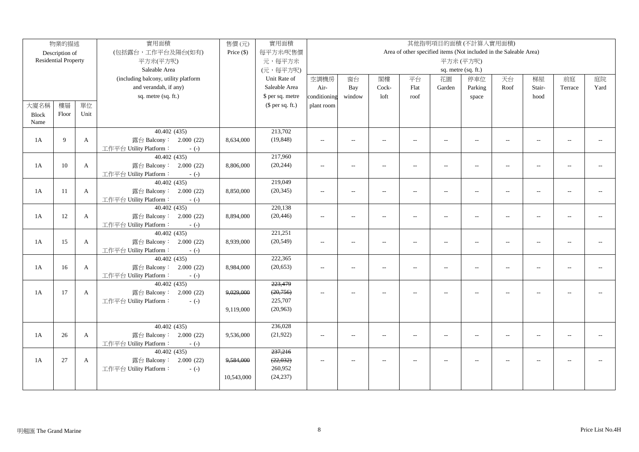|              | 物業的描述                       |              | 實用面積                                            | 售價(元)      | 實用面積             |                          |                          |                          |                          |                          | 其他指明項目的面積(不計算入實用面積)                                               |                          |                          |                          |      |
|--------------|-----------------------------|--------------|-------------------------------------------------|------------|------------------|--------------------------|--------------------------|--------------------------|--------------------------|--------------------------|-------------------------------------------------------------------|--------------------------|--------------------------|--------------------------|------|
|              | Description of              |              | (包括露台,工作平台及陽台(如有)                               | Price (\$) | 每平方米/呎售價         |                          |                          |                          |                          |                          | Area of other specified items (Not included in the Saleable Area) |                          |                          |                          |      |
|              | <b>Residential Property</b> |              | 平方米(平方呎)                                        |            | 元,每平方米           |                          |                          |                          |                          |                          | 平方米(平方呎)                                                          |                          |                          |                          |      |
|              |                             |              | Saleable Area                                   |            | (元,每平方呎)         |                          |                          |                          |                          |                          | sq. metre (sq. ft.)                                               |                          |                          |                          |      |
|              |                             |              | (including balcony, utility platform            |            | Unit Rate of     | 空調機房                     | 窗台                       | 閣樓                       | 平台                       | 花園                       | 停車位                                                               | 天台                       | 梯屋                       | 前庭                       | 庭院   |
|              |                             |              | and verandah, if any)                           |            | Saleable Area    | Air-                     | Bay                      | Cock-                    | Flat                     | Garden                   | Parking                                                           | Roof                     | Stair-                   | Terrace                  | Yard |
|              |                             |              | sq. metre (sq. ft.)                             |            | \$ per sq. metre | conditioning             | window                   | loft                     | roof                     |                          | space                                                             |                          | hood                     |                          |      |
| 大廈名稱         | 樓層                          | 單位           |                                                 |            | (\$ per sq. ft.) | plant room               |                          |                          |                          |                          |                                                                   |                          |                          |                          |      |
| <b>Block</b> | Floor                       | Unit         |                                                 |            |                  |                          |                          |                          |                          |                          |                                                                   |                          |                          |                          |      |
| Name         |                             |              |                                                 |            |                  |                          |                          |                          |                          |                          |                                                                   |                          |                          |                          |      |
|              |                             |              | 40.402(435)                                     |            | 213,702          |                          |                          |                          |                          |                          |                                                                   |                          |                          |                          |      |
| 1A           | 9                           | $\mathbf{A}$ | 露台 Balcony: 2.000 (22)                          | 8,634,000  | (19, 848)        | $\overline{a}$           | $\overline{\phantom{a}}$ | $\overline{\phantom{a}}$ | $\overline{a}$           | $\overline{a}$           | $\overline{a}$                                                    | $\overline{a}$           | $\overline{a}$           | $\overline{\phantom{a}}$ |      |
|              |                             |              | 工作平台 Utility Platform:<br>$-(-)$                |            |                  |                          |                          |                          |                          |                          |                                                                   |                          |                          |                          |      |
|              |                             |              | 40.402(435)                                     |            | 217,960          |                          |                          |                          |                          |                          |                                                                   |                          |                          |                          |      |
| 1A           | 10                          | $\mathbf{A}$ | 露台 Balcony: 2.000 (22)                          | 8,806,000  | (20, 244)        | $\overline{\phantom{a}}$ | $\overline{a}$           | $\overline{\phantom{a}}$ | $\overline{a}$           | $\overline{\phantom{a}}$ | $\overline{\phantom{a}}$                                          | $\overline{\phantom{a}}$ | $\overline{a}$           | $\sim$ $\sim$            |      |
|              |                             |              | 工作平台 Utility Platform:<br>$-(-)$                |            |                  |                          |                          |                          |                          |                          |                                                                   |                          |                          |                          |      |
|              |                             |              | 40.402 (435)                                    |            | 219,049          |                          |                          |                          |                          |                          |                                                                   |                          |                          |                          |      |
| 1A           | 11                          | $\mathbf{A}$ | 露台 Balcony: 2.000 (22)                          | 8,850,000  | (20, 345)        | $\overline{\phantom{a}}$ | $\overline{a}$           | $\overline{\phantom{a}}$ | $\overline{a}$           | $\overline{\phantom{a}}$ | $\mathcal{L}_{\mathcal{F}}$                                       | $\overline{\phantom{a}}$ | $\overline{\phantom{a}}$ | $\sim$                   |      |
|              |                             |              | 工作平台 Utility Platform:<br>$-(-)$                |            |                  |                          |                          |                          |                          |                          |                                                                   |                          |                          |                          |      |
|              |                             |              | 40.402 (435)                                    |            | 220,138          |                          |                          |                          |                          |                          |                                                                   |                          |                          |                          |      |
| 1A           | 12                          | $\mathbf{A}$ | 露台 Balcony: 2.000 (22)                          | 8,894,000  | (20, 446)        | $\overline{a}$           | $\overline{a}$           | $\sim$                   | $\overline{a}$           | $\overline{a}$           | $\overline{\phantom{a}}$                                          | $\sim$                   | $\overline{a}$           | $\sim$ $\sim$            |      |
|              |                             |              | 工作平台 Utility Platform:<br>$-(-)$                |            |                  |                          |                          |                          |                          |                          |                                                                   |                          |                          |                          |      |
|              |                             |              | 40.402 (435)                                    |            | 221,251          |                          |                          |                          |                          |                          |                                                                   |                          |                          |                          |      |
| 1A           | 15                          | $\mathbf{A}$ | 露台 Balcony: 2.000 (22)                          | 8,939,000  | (20, 549)        | $\overline{\phantom{a}}$ | $\qquad \qquad -$        | $\overline{\phantom{a}}$ | $\overline{a}$           | $\overline{a}$           | $\overline{a}$                                                    | $\overline{a}$           | $\overline{\phantom{a}}$ | $- -$                    |      |
|              |                             |              | 工作平台 Utility Platform:<br>$-(-)$<br>40.402(435) |            | 222,365          |                          |                          |                          |                          |                          |                                                                   |                          |                          |                          |      |
| 1A           | 16                          | $\mathbf{A}$ | 露台 Balcony: 2.000 (22)                          | 8,984,000  | (20, 653)        | $\overline{\phantom{a}}$ | $\overline{a}$           | $\sim$                   | $\overline{a}$           | $\overline{\phantom{a}}$ | $\overline{\phantom{a}}$                                          | $\sim$                   | $\overline{a}$           | $\sim$ $\sim$            |      |
|              |                             |              | 工作平台 Utility Platform:<br>$-(-)$                |            |                  |                          |                          |                          |                          |                          |                                                                   |                          |                          |                          |      |
|              |                             |              | 40.402 (435)                                    |            | 223,479          |                          |                          |                          |                          |                          |                                                                   |                          |                          |                          |      |
| 1A           | 17                          | $\mathbf{A}$ | 露台 Balcony: 2.000 (22)                          | 9,029,000  | (20, 756)        | $\sim$ $\sim$            | $\overline{a}$           | $\sim$                   | $\overline{a}$           | $\overline{\phantom{a}}$ | $-$                                                               | $\sim$                   |                          |                          |      |
|              |                             |              | 工作平台 Utility Platform:<br>$-(-)$                |            | 225,707          |                          |                          |                          |                          |                          |                                                                   |                          |                          |                          |      |
|              |                             |              |                                                 | 9,119,000  | (20, 963)        |                          |                          |                          |                          |                          |                                                                   |                          |                          |                          |      |
|              |                             |              |                                                 |            |                  |                          |                          |                          |                          |                          |                                                                   |                          |                          |                          |      |
|              |                             |              | 40.402(435)                                     |            | 236,028          |                          |                          |                          |                          |                          |                                                                   |                          |                          |                          |      |
| 1A           | 26                          | $\mathbf{A}$ | 露台 Balcony: 2.000 (22)                          | 9,536,000  | (21, 922)        | $\overline{\phantom{a}}$ | $\overline{a}$           | $\overline{\phantom{a}}$ | $\overline{a}$           | $\overline{\phantom{a}}$ | $-$                                                               | $\overline{\phantom{a}}$ | $\overline{a}$           |                          |      |
|              |                             |              | 工作平台 Utility Platform:<br>$-(-)$                |            |                  |                          |                          |                          |                          |                          |                                                                   |                          |                          |                          |      |
|              |                             |              | 40.402(435)                                     |            | 237,216          |                          |                          |                          |                          |                          |                                                                   |                          |                          |                          |      |
| 1A           | 27                          | $\mathbf{A}$ | 露台 Balcony: 2.000 (22)                          | 9,584,000  | (22, 032)        | $\overline{\phantom{a}}$ | $\overline{\phantom{a}}$ | $\sim$                   | $\overline{\phantom{a}}$ | $\overline{\phantom{a}}$ | $\overline{\phantom{a}}$                                          | $\sim$                   | $\overline{a}$           | $-$                      |      |
|              |                             |              | 工作平台 Utility Platform:<br>$-(-)$                |            | 260,952          |                          |                          |                          |                          |                          |                                                                   |                          |                          |                          |      |
|              |                             |              |                                                 | 10,543,000 | (24, 237)        |                          |                          |                          |                          |                          |                                                                   |                          |                          |                          |      |
|              |                             |              |                                                 |            |                  |                          |                          |                          |                          |                          |                                                                   |                          |                          |                          |      |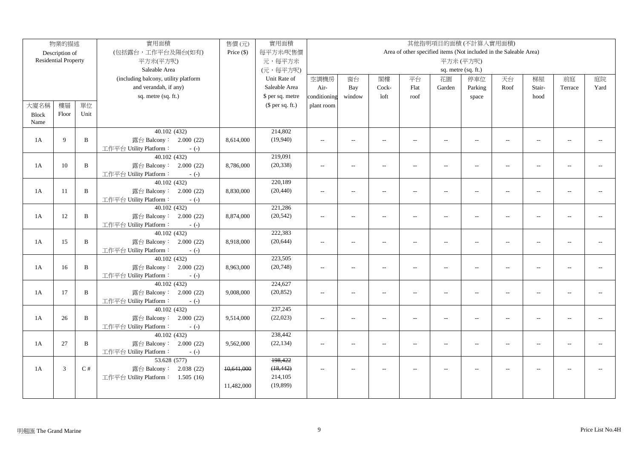|              | 物業的描述                       |              | 實用面積                                             | 售價(元)        | 實用面積             |                          |                          |                          |                |                          | 其他指明項目的面積(不計算入實用面積)                                               |                          |                          |                          |                |
|--------------|-----------------------------|--------------|--------------------------------------------------|--------------|------------------|--------------------------|--------------------------|--------------------------|----------------|--------------------------|-------------------------------------------------------------------|--------------------------|--------------------------|--------------------------|----------------|
|              | Description of              |              | (包括露台,工作平台及陽台(如有)                                | Price $(\$)$ | 每平方米/呎售價         |                          |                          |                          |                |                          | Area of other specified items (Not included in the Saleable Area) |                          |                          |                          |                |
|              | <b>Residential Property</b> |              | 平方米(平方呎)                                         |              | 元,每平方米           |                          |                          |                          |                |                          | 平方米(平方呎)                                                          |                          |                          |                          |                |
|              |                             |              | Saleable Area                                    |              | (元,每平方呎)         |                          |                          |                          |                |                          | sq. metre (sq. ft.)                                               |                          |                          |                          |                |
|              |                             |              | (including balcony, utility platform             |              | Unit Rate of     | 空調機房                     | 窗台                       | 閣樓                       | 平台             | 花園                       | 停車位                                                               | 天台                       | 梯屋                       | 前庭                       | 庭院             |
|              |                             |              | and verandah, if any)                            |              | Saleable Area    | Air-                     | Bay                      | Cock-                    | Flat           | Garden                   | Parking                                                           | Roof                     | Stair-                   | Terrace                  | Yard           |
|              |                             |              | sq. metre (sq. ft.)                              |              | \$ per sq. metre | conditioning             | window                   | loft                     | roof           |                          | space                                                             |                          | hood                     |                          |                |
| 大廈名稱         | 樓層                          | 單位           |                                                  |              | $$$ per sq. ft.) | plant room               |                          |                          |                |                          |                                                                   |                          |                          |                          |                |
| <b>Block</b> | Floor                       | Unit         |                                                  |              |                  |                          |                          |                          |                |                          |                                                                   |                          |                          |                          |                |
| Name         |                             |              |                                                  |              |                  |                          |                          |                          |                |                          |                                                                   |                          |                          |                          |                |
|              |                             |              | 40.102 (432)                                     |              | 214,802          |                          |                          |                          |                |                          |                                                                   |                          |                          |                          |                |
| 1A           | 9                           | $\mathbf{B}$ | 露台 Balcony: 2.000 (22)                           | 8,614,000    | (19,940)         | $\sim$                   | $\sim$                   | $\overline{\phantom{a}}$ | $\overline{a}$ | $\overline{\phantom{a}}$ | $\overline{\phantom{a}}$                                          | $\sim$                   | $\overline{a}$           | $\sim$ $\sim$            |                |
|              |                             |              | 工作平台 Utility Platform:<br>$-(-)$                 |              |                  |                          |                          |                          |                |                          |                                                                   |                          |                          |                          |                |
|              |                             |              | 40.102(432)                                      |              | 219,091          |                          |                          |                          |                |                          |                                                                   |                          |                          |                          |                |
| 1A           | 10                          | $\, {\bf B}$ | 露台 Balcony: 2.000 (22)                           | 8,786,000    | (20, 338)        | $\overline{\phantom{a}}$ | $\overline{\phantom{a}}$ | $\sim$                   | $\overline{a}$ | $\overline{\phantom{a}}$ | $\overline{\phantom{a}}$                                          | $\overline{\phantom{a}}$ | $\overline{\phantom{a}}$ | $\sim$ $\sim$            |                |
|              |                             |              | 工作平台 Utility Platform:<br>$-(-)$                 |              |                  |                          |                          |                          |                |                          |                                                                   |                          |                          |                          |                |
|              |                             |              | 40.102 (432)                                     |              | 220,189          |                          |                          |                          |                |                          |                                                                   |                          |                          |                          |                |
| 1A           | 11                          | $\, {\bf B}$ | 露台 Balcony: 2.000 (22)                           | 8,830,000    | (20, 440)        | $\overline{\phantom{a}}$ | $\qquad \qquad -$        | $\overline{\phantom{a}}$ | $\overline{a}$ | $\overline{\phantom{a}}$ | $\overline{\phantom{a}}$                                          | $\overline{\phantom{a}}$ | $\overline{a}$           | $\overline{\phantom{a}}$ |                |
|              |                             |              | 工作平台 Utility Platform:<br>$-(-)$                 |              |                  |                          |                          |                          |                |                          |                                                                   |                          |                          |                          |                |
|              |                             |              | 40.102 (432)                                     |              | 221,286          |                          |                          |                          |                |                          |                                                                   |                          |                          |                          |                |
| 1A           | 12                          | B            | 露台 Balcony: 2.000 (22)                           | 8,874,000    | (20, 542)        | $\sim$ $-$               | $\sim$                   | $\sim$                   | $\overline{a}$ | $\sim$                   | $\sim$ $\sim$                                                     | $\sim$                   | $\overline{a}$           | $-$                      |                |
|              |                             |              | 工作平台 Utility Platform:<br>$-(-)$                 |              | 222,383          |                          |                          |                          |                |                          |                                                                   |                          |                          |                          |                |
|              |                             |              | 40.102 (432)                                     |              |                  |                          |                          |                          |                |                          |                                                                   |                          |                          |                          |                |
| 1A           | 15                          | B            | 露台 Balcony: 2.000 (22)<br>工作平台 Utility Platform: | 8,918,000    | (20, 644)        | $\sim$                   | $\overline{\phantom{a}}$ | $\sim$                   | $\overline{a}$ | $\sim$                   | $\sim$                                                            | $\sim$                   | $\overline{a}$           | $\sim$ $\sim$            |                |
|              |                             |              | $-(-)$<br>40.102(432)                            |              | 223,505          |                          |                          |                          |                |                          |                                                                   |                          |                          |                          |                |
| 1A           | 16                          | $\, {\bf B}$ | 露台 Balcony: 2.000 (22)                           | 8,963,000    | (20,748)         | $\sim$                   | $\overline{\phantom{a}}$ | $\sim$                   | $\overline{a}$ | $\sim$                   | $\sim$                                                            | $\sim$                   | $\overline{\phantom{a}}$ | $\overline{\phantom{a}}$ | $\overline{a}$ |
|              |                             |              | 工作平台 Utility Platform:<br>$-(-)$                 |              |                  |                          |                          |                          |                |                          |                                                                   |                          |                          |                          |                |
|              |                             |              | 40.102(432)                                      |              | 224,627          |                          |                          |                          |                |                          |                                                                   |                          |                          |                          |                |
| 1A           | 17                          | B            | 露台 Balcony: 2.000 (22)                           | 9,008,000    | (20, 852)        | $\overline{a}$           | $\overline{a}$           | $\overline{a}$           | $\overline{a}$ | $\overline{a}$           | $\sim$                                                            | $\overline{a}$           | $\overline{a}$           | $\mathbf{L}$             |                |
|              |                             |              | 工作平台 Utility Platform:<br>$-(-)$                 |              |                  |                          |                          |                          |                |                          |                                                                   |                          |                          |                          |                |
|              |                             |              | 40.102 (432)                                     |              | 237,245          |                          |                          |                          |                |                          |                                                                   |                          |                          |                          |                |
| 1A           | 26                          | B            | 露台 Balcony: 2.000 (22)                           | 9,514,000    | (22,023)         | $\overline{a}$           | $\overline{a}$           | $\overline{a}$           | $\overline{a}$ | $\overline{a}$           | $\overline{a}$                                                    | $\overline{a}$           | $\overline{a}$           | $\mathbf{L}$             |                |
|              |                             |              | 工作平台 Utility Platform:<br>$-(-)$                 |              |                  |                          |                          |                          |                |                          |                                                                   |                          |                          |                          |                |
|              |                             |              | 40.102 (432)                                     |              | 238,442          |                          |                          |                          |                |                          |                                                                   |                          |                          |                          |                |
| 1A           | 27                          | B            | 露台 Balcony: 2.000 (22)                           | 9,562,000    | (22, 134)        | $\overline{a}$           | $\sim$                   | $\sim$                   | $\overline{a}$ | $\sim$                   | $\sim$                                                            | $\sim$                   | --                       | $\overline{a}$           |                |
|              |                             |              | 工作平台 Utility Platform:<br>$-(-)$                 |              |                  |                          |                          |                          |                |                          |                                                                   |                          |                          |                          |                |
|              |                             |              | 53.628 (577)                                     |              | 198,422          |                          |                          |                          |                |                          |                                                                   |                          |                          |                          |                |
| 1A           | 3                           | C#           | 露台 Balcony: 2.038 (22)                           | 10,641,000   | (18, 442)        | $\overline{a}$           | $\sim$                   | $\overline{a}$           | $\overline{a}$ | $\overline{a}$           | $\overline{a}$                                                    | $\overline{\phantom{a}}$ | $\overline{a}$           | $\sim$ $\sim$            |                |
|              |                             |              | 工作平台 Utility Platform: 1.505 (16)                |              | 214,105          |                          |                          |                          |                |                          |                                                                   |                          |                          |                          |                |
|              |                             |              |                                                  | 11,482,000   | (19,899)         |                          |                          |                          |                |                          |                                                                   |                          |                          |                          |                |
|              |                             |              |                                                  |              |                  |                          |                          |                          |                |                          |                                                                   |                          |                          |                          |                |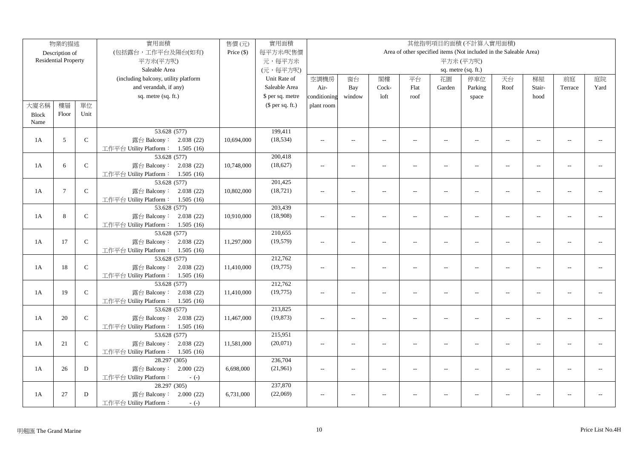|              | 物業的描述                       |              | 實用面積                                              | 售價(元)        | 實用面積             |                |                          |                          |                |                          | 其他指明項目的面積(不計算入實用面積)                                               |                          |                |                |      |
|--------------|-----------------------------|--------------|---------------------------------------------------|--------------|------------------|----------------|--------------------------|--------------------------|----------------|--------------------------|-------------------------------------------------------------------|--------------------------|----------------|----------------|------|
|              | Description of              |              | (包括露台,工作平台及陽台(如有)                                 | Price $(\$)$ | 每平方米/呎售價         |                |                          |                          |                |                          | Area of other specified items (Not included in the Saleable Area) |                          |                |                |      |
|              | <b>Residential Property</b> |              | 平方米(平方呎)                                          |              | 元,每平方米           |                |                          |                          |                |                          | 平方米(平方呎)                                                          |                          |                |                |      |
|              |                             |              | Saleable Area                                     |              | (元,每平方呎)         |                |                          |                          |                |                          | sq. metre (sq. ft.)                                               |                          |                |                |      |
|              |                             |              | (including balcony, utility platform              |              | Unit Rate of     | 空調機房           | 窗台                       | 閣樓                       | 平台             | 花園                       | 停車位                                                               | 天台                       | 梯屋             | 前庭             | 庭院   |
|              |                             |              | and verandah, if any)                             |              | Saleable Area    | Air-           | Bay                      | Cock-                    | Flat           | Garden                   | Parking                                                           | Roof                     | Stair-         | Terrace        | Yard |
|              |                             |              | sq. metre (sq. ft.)                               |              | \$ per sq. metre | conditioning   | window                   | loft                     | roof           |                          | space                                                             |                          | hood           |                |      |
| 大廈名稱         | 樓層                          | 單位           |                                                   |              | $$$ per sq. ft.) | plant room     |                          |                          |                |                          |                                                                   |                          |                |                |      |
| <b>Block</b> | Floor                       | Unit         |                                                   |              |                  |                |                          |                          |                |                          |                                                                   |                          |                |                |      |
| Name         |                             |              |                                                   |              |                  |                |                          |                          |                |                          |                                                                   |                          |                |                |      |
|              |                             |              | 53.628 (577)                                      |              | 199,411          |                |                          |                          |                |                          |                                                                   |                          |                |                |      |
| 1A           | 5                           | $\mathsf C$  | 露台 Balcony: 2.038 (22)                            | 10,694,000   | (18, 534)        | $\sim$ $\sim$  | $\sim$                   | $\sim$                   | $\sim$         | $\overline{a}$           | $\sim$                                                            | $\sim$                   | $\sim$         | $\sim$         |      |
|              |                             |              | 工作平台 Utility Platform: 1.505 (16)                 |              |                  |                |                          |                          |                |                          |                                                                   |                          |                |                |      |
|              |                             |              | 53.628 (577)                                      |              | 200,418          |                |                          |                          |                |                          |                                                                   |                          |                |                |      |
| 1A           | 6                           | $\mathsf C$  | 露台 Balcony: 2.038 (22)                            | 10,748,000   | (18,627)         | $\sim$         | $\overline{\phantom{a}}$ | $\overline{\phantom{a}}$ | $\overline{a}$ | $\overline{\phantom{a}}$ | $\overline{a}$                                                    | $\overline{\phantom{a}}$ | $\overline{a}$ | $-$            |      |
|              |                             |              | 工作平台 Utility Platform: 1.505 (16)                 |              |                  |                |                          |                          |                |                          |                                                                   |                          |                |                |      |
|              |                             |              | 53.628 (577)                                      |              | 201,425          |                |                          |                          |                |                          |                                                                   |                          |                |                |      |
| 1A           | $\overline{7}$              | $\mathsf C$  | 露台 Balcony: 2.038 (22)                            | 10,802,000   | (18, 721)        | $\sim$ $\sim$  | $\overline{a}$           | $\sim$                   | $\overline{a}$ | $\overline{a}$           | $\overline{a}$                                                    | $\overline{\phantom{a}}$ | $\overline{a}$ |                |      |
|              |                             |              | 工作平台 Utility Platform: 1.505 (16)                 |              |                  |                |                          |                          |                |                          |                                                                   |                          |                |                |      |
|              |                             |              | 53.628 (577)                                      |              | 203,439          |                |                          |                          |                |                          |                                                                   |                          |                |                |      |
| 1A           | 8                           | $\mathsf C$  | 露台 Balcony: 2.038 (22)                            | 10,910,000   | (18,908)         | $\overline{a}$ | $\overline{a}$           | $\sim$                   | $\overline{a}$ | $\overline{\phantom{a}}$ | $\overline{a}$                                                    | $\overline{a}$           | $\overline{a}$ | $\overline{a}$ |      |
|              |                             |              | 工作平台 Utility Platform: 1.505 (16)                 |              |                  |                |                          |                          |                |                          |                                                                   |                          |                |                |      |
|              |                             |              | 53.628 (577)                                      |              | 210,655          |                |                          |                          |                |                          |                                                                   |                          |                |                |      |
| 1A           | 17                          | $\mathsf C$  | 露台 Balcony: 2.038 (22)                            | 11,297,000   | (19, 579)        | $\overline{a}$ | $\overline{a}$           | $\overline{a}$           | $\overline{a}$ | $\overline{\phantom{a}}$ | $\overline{a}$                                                    | $\overline{a}$           | $\sim$         | $\sim$ $\sim$  |      |
|              |                             |              | 工作平台 Utility Platform: 1.505 (16)                 |              |                  |                |                          |                          |                |                          |                                                                   |                          |                |                |      |
|              |                             |              | 53.628 (577)                                      |              | 212,762          |                |                          |                          |                |                          |                                                                   |                          |                |                |      |
| 1A           | 18                          | $\mathsf C$  | 露台 Balcony: 2.038 (22)                            | 11,410,000   | (19, 775)        | $\overline{a}$ | $\overline{a}$           | $\overline{a}$           | $\overline{a}$ | $\overline{a}$           | $\overline{a}$                                                    | $\overline{\phantom{a}}$ | $\overline{a}$ | $\overline{a}$ |      |
|              |                             |              | 工作平台 Utility Platform: 1.505 (16)                 |              |                  |                |                          |                          |                |                          |                                                                   |                          |                |                |      |
|              |                             |              | 53.628 (577)                                      |              | 212,762          |                |                          |                          |                |                          |                                                                   |                          |                |                |      |
| 1A           | 19                          | $\mathsf{C}$ | 露台 Balcony: 2.038 (22)                            | 11,410,000   | (19, 775)        | $\overline{a}$ | $\overline{a}$           | $\overline{a}$           | $\overline{a}$ | $\overline{\phantom{a}}$ | $\overline{a}$                                                    | $\overline{a}$           | $\sim$         | $\overline{a}$ |      |
|              |                             |              | 工作平台 Utility Platform: 1.505 (16)                 |              |                  |                |                          |                          |                |                          |                                                                   |                          |                |                |      |
|              |                             |              | 53.628 (577)                                      |              | 213,825          |                |                          |                          |                |                          |                                                                   |                          |                |                |      |
| 1A           | 20                          | $\mathsf C$  | 露台 Balcony: 2.038 (22)                            | 11,467,000   | (19, 873)        | $\overline{a}$ | $\overline{a}$           | $\sim$                   | $\overline{a}$ | $\sim$                   | $\overline{a}$                                                    | $\sim$                   | $\sim$         | $\sim$ $\sim$  |      |
|              |                             |              | 工作平台 Utility Platform: 1.505 (16)<br>53.628 (577) |              | 215,951          |                |                          |                          |                |                          |                                                                   |                          |                |                |      |
| 1A           | 21                          | $\mathsf C$  | 露台 Balcony: 2.038 (22)                            | 11,581,000   | (20,071)         |                |                          |                          |                |                          |                                                                   |                          |                | $\overline{a}$ |      |
|              |                             |              | 工作平台 Utility Platform: 1.505 (16)                 |              |                  | $\overline{a}$ | $\overline{a}$           | $\overline{\phantom{a}}$ | $\overline{a}$ | $\overline{\phantom{a}}$ | $\overline{a}$                                                    | $\overline{a}$           | $\overline{a}$ |                |      |
|              |                             |              | 28.297 (305)                                      |              | 236,704          |                |                          |                          |                |                          |                                                                   |                          |                |                |      |
| 1A           | 26                          | D            | 露台 Balcony: 2.000 (22)                            | 6,698,000    | (21,961)         | $\sim$ $\sim$  | $\overline{a}$           | $\sim$                   | $\overline{a}$ | $-$                      | $\overline{a}$                                                    | $\overline{a}$           | $\overline{a}$ |                |      |
|              |                             |              | 工作平台 Utility Platform:<br>$-(-)$                  |              |                  |                |                          |                          |                |                          |                                                                   |                          |                |                |      |
|              |                             |              | 28.297 (305)                                      |              | 237,870          |                |                          |                          |                |                          |                                                                   |                          |                |                |      |
| 1A           | 27                          | D            | 露台 Balcony: 2.000 (22)                            | 6,731,000    | (22,069)         | $\sim$ $\sim$  | $\overline{a}$           |                          |                | $\overline{a}$           | $\overline{a}$                                                    | $\overline{a}$           |                |                |      |
|              |                             |              | 工作平台 Utility Platform:<br>$-(-)$                  |              |                  |                |                          |                          |                |                          |                                                                   |                          |                |                |      |
|              |                             |              |                                                   |              |                  |                |                          |                          |                |                          |                                                                   |                          |                |                |      |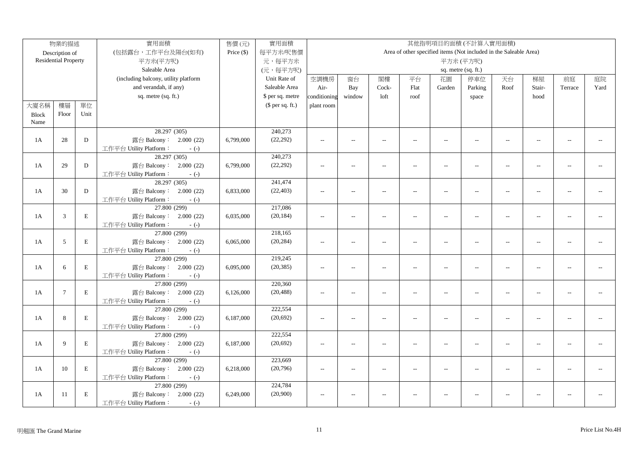|              | 物業的描述                       |             | 實用面積                                   | 售價(元)        | 實用面積             | 其他指明項目的面積(不計算入實用面積) |                          |                          |                          |                          |                                                                   |                          |                          |                |      |
|--------------|-----------------------------|-------------|----------------------------------------|--------------|------------------|---------------------|--------------------------|--------------------------|--------------------------|--------------------------|-------------------------------------------------------------------|--------------------------|--------------------------|----------------|------|
|              | Description of              |             | (包括露台,工作平台及陽台(如有)                      | Price $(\$)$ | 每平方米/呎售價         |                     |                          |                          |                          |                          | Area of other specified items (Not included in the Saleable Area) |                          |                          |                |      |
|              | <b>Residential Property</b> |             | 平方米(平方呎)                               |              | 元,每平方米           |                     |                          |                          |                          |                          | 平方米(平方呎)                                                          |                          |                          |                |      |
|              |                             |             | Saleable Area                          |              | (元,每平方呎)         | sq. metre (sq. ft.) |                          |                          |                          |                          |                                                                   |                          |                          |                |      |
|              |                             |             | (including balcony, utility platform   |              | Unit Rate of     | 空調機房                | 窗台                       | 閣樓                       | 平台                       | 花園                       | 停車位                                                               | 天台                       | 梯屋                       | 前庭             | 庭院   |
|              |                             |             | and verandah, if any)                  |              | Saleable Area    | Air-                | Bay                      | Cock-                    | Flat                     | Garden                   | Parking                                                           | Roof                     | Stair-                   | Terrace        | Yard |
|              |                             |             | sq. metre (sq. ft.)                    |              | \$ per sq. metre | conditioning        | window                   | loft                     | roof                     |                          | space                                                             |                          | hood                     |                |      |
| 大廈名稱         | 樓層                          | 單位          |                                        |              | $$$ per sq. ft.) | plant room          |                          |                          |                          |                          |                                                                   |                          |                          |                |      |
| <b>Block</b> | Floor                       | Unit        |                                        |              |                  |                     |                          |                          |                          |                          |                                                                   |                          |                          |                |      |
| Name         |                             |             |                                        |              |                  |                     |                          |                          |                          |                          |                                                                   |                          |                          |                |      |
|              |                             |             | 28.297 (305)                           |              | 240,273          |                     |                          |                          |                          |                          |                                                                   |                          |                          |                |      |
| 1A           | 28                          | D           | 露台 Balcony: 2.000 (22)                 | 6,799,000    | (22, 292)        | $\sim$ $\sim$       | $\sim$                   | $\sim$                   | $\sim$                   | $\sim$                   | $\sim$                                                            | $\sim$                   | $\sim$                   | $\overline{a}$ |      |
|              |                             |             | 工作平台 Utility Platform:<br>$-(-)$       |              |                  |                     |                          |                          |                          |                          |                                                                   |                          |                          |                |      |
|              |                             |             | 28.297 (305)                           |              | 240,273          |                     |                          |                          |                          |                          |                                                                   |                          |                          |                |      |
| 1A           | 29                          | D           | 露台 Balcony: 2.000 (22)                 | 6,799,000    | (22, 292)        | $\overline{a}$      | $\overline{a}$           | $\sim$                   | $\sim$                   | $\overline{a}$           | $\sim$                                                            | $\sim$                   | $\sim$                   |                |      |
|              |                             |             | 工作平台 Utility Platform:<br>$-(-)$       |              |                  |                     |                          |                          |                          |                          |                                                                   |                          |                          |                |      |
|              |                             |             | 28.297 (305)                           |              | 241,474          |                     |                          |                          |                          |                          |                                                                   |                          |                          |                |      |
| 1A           | 30                          | D           | 露台 Balcony: 2.000 (22)                 | 6,833,000    | (22, 403)        | $\sim$ $\sim$       | $\sim$                   | $\sim$                   | $\sim$                   | $\sim$                   | $\sim$                                                            | $\sim$                   | $\sim$                   |                |      |
|              |                             |             | 工作平台 Utility Platform:<br>$-(-)$       |              |                  |                     |                          |                          |                          |                          |                                                                   |                          |                          |                |      |
|              |                             |             | 27.800 (299)                           |              | 217,086          |                     |                          |                          |                          |                          |                                                                   |                          |                          |                |      |
| 1A           | $\sqrt{3}$                  | $\mathbf E$ | 露台 Balcony: 2.000 (22)                 | 6,035,000    | (20, 184)        | $\sim$              | $\overline{a}$           | $\sim$                   | $\overline{a}$           | $\overline{a}$           | $\sim$ $\sim$                                                     | $\sim$                   | $\sim$                   | $\overline{a}$ |      |
|              |                             |             | 工作平台 Utility Platform:<br>$-(-)$       |              |                  |                     |                          |                          |                          |                          |                                                                   |                          |                          |                |      |
|              |                             |             | 27.800 (299)                           |              | 218,165          |                     |                          |                          |                          |                          |                                                                   |                          |                          |                |      |
| 1A           | 5                           | $\mathbf E$ | 露台 Balcony: 2.000 (22)                 | 6,065,000    | (20, 284)        | $\overline{a}$      | $\overline{a}$           | $\overline{a}$           | $\overline{\phantom{a}}$ | $\overline{\phantom{a}}$ | $\overline{\phantom{a}}$                                          | $\overline{\phantom{a}}$ | $\overline{a}$           | $\overline{a}$ |      |
|              |                             |             | 工作平台 Utility Platform:<br>$-(-)$       |              |                  |                     |                          |                          |                          |                          |                                                                   |                          |                          |                |      |
|              |                             |             | 27.800 (299)                           |              | 219,245          |                     |                          |                          |                          |                          |                                                                   |                          |                          |                |      |
| 1A           | 6                           | $\mathbf E$ | 露台 Balcony: 2.000 (22)                 | 6,095,000    | (20, 385)        | $\overline{a}$      | $\overline{a}$           | $\sim$                   | $\overline{a}$           | $\overline{a}$           | $\overline{a}$                                                    | $\sim$                   | $\sim$                   | $\sim$ $\sim$  |      |
|              |                             |             | 工作平台 Utility Platform:<br>$-(-)$       |              |                  |                     |                          |                          |                          |                          |                                                                   |                          |                          |                |      |
|              |                             |             | 27.800 (299)                           |              | 220,360          |                     |                          |                          |                          |                          |                                                                   |                          |                          |                |      |
| 1A           | $\overline{7}$              | $\mathbf E$ | 露台 Balcony: 2.000 (22)                 | 6,126,000    | (20, 488)        | $\overline{a}$      | $\overline{a}$           | $\overline{a}$           | $\overline{\phantom{a}}$ | $\overline{\phantom{a}}$ | $\overline{\phantom{a}}$                                          | $\overline{\phantom{a}}$ | $\overline{a}$           | $\overline{a}$ |      |
|              |                             |             | 工作平台 Utility Platform:<br>$-(-)$       |              |                  |                     |                          |                          |                          |                          |                                                                   |                          |                          |                |      |
|              |                             |             | 27.800 (299)                           |              | 222,554          |                     |                          |                          |                          |                          |                                                                   |                          |                          |                |      |
| 1A           | 8                           | $\mathbf E$ | 露台 Balcony: 2.000 (22)                 | 6,187,000    | (20, 692)        | $\overline{a}$      | $\overline{\phantom{a}}$ | $\overline{a}$           | $\overline{a}$           | $\overline{a}$           | $\overline{\phantom{a}}$                                          | $\overline{\phantom{a}}$ | $\overline{\phantom{a}}$ | $-1$           |      |
|              |                             |             | 工作平台 Utility Platform:<br>$-(-)$       |              | 222,554          |                     |                          |                          |                          |                          |                                                                   |                          |                          |                |      |
| 1A           | 9                           | $\mathbf E$ | 27.800 (299)<br>露台 Balcony: 2.000 (22) |              | (20, 692)        |                     |                          |                          |                          |                          |                                                                   |                          |                          | $\overline{a}$ |      |
|              |                             |             | 工作平台 Utility Platform:                 | 6,187,000    |                  | $\overline{a}$      | $\overline{a}$           | $\overline{a}$           | $\overline{a}$           | $\overline{\phantom{a}}$ | $\overline{a}$                                                    | $\overline{\phantom{a}}$ | $\overline{a}$           |                |      |
|              |                             |             | $-(-)$<br>27.800 (299)                 |              | 223,669          |                     |                          |                          |                          |                          |                                                                   |                          |                          |                |      |
| 1A           | 10                          | $\mathbf E$ | 露台 Balcony: 2.000 (22)                 | 6,218,000    | (20,796)         | $\sim$ $\sim$       | $\overline{a}$           | $\overline{\phantom{a}}$ | $\overline{a}$           | $\overline{a}$           | $\overline{a}$                                                    | $\sim$                   | $\overline{a}$           |                |      |
|              |                             |             | 工作平台 Utility Platform:<br>$-(-)$       |              |                  |                     |                          |                          |                          |                          |                                                                   |                          |                          |                |      |
|              |                             |             | 27.800 (299)                           |              | 224,784          |                     |                          |                          |                          |                          |                                                                   |                          |                          |                |      |
| 1A           | 11                          | $\,$ E      | 露台 Balcony: 2.000 (22)                 | 6,249,000    | (20,900)         | $\sim$ $\sim$       | $\overline{a}$           | $\sim$                   |                          | $\overline{a}$           | $\sim$ $\sim$                                                     | $\overline{a}$           | $\overline{a}$           | $\sim$         |      |
|              |                             |             | 工作平台 Utility Platform:<br>$-(-)$       |              |                  |                     |                          |                          |                          |                          |                                                                   |                          |                          |                |      |
|              |                             |             |                                        |              |                  |                     |                          |                          |                          |                          |                                                                   |                          |                          |                |      |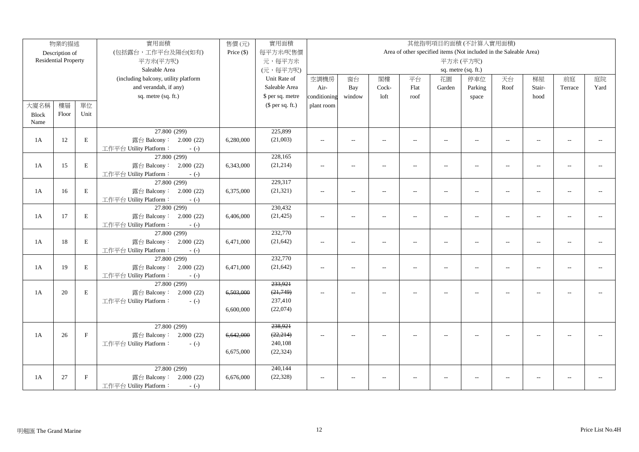|              | 物業的描述                       |              | 實用面積                                 | 售價(元)      | 實用面積             | 其他指明項目的面積(不計算入實用面積)                                   |                |                          |                |                                                                   |                          |                          |                          |                |      |
|--------------|-----------------------------|--------------|--------------------------------------|------------|------------------|-------------------------------------------------------|----------------|--------------------------|----------------|-------------------------------------------------------------------|--------------------------|--------------------------|--------------------------|----------------|------|
|              | Description of              |              | (包括露台,工作平台及陽台(如有)                    | Price (\$) | 每平方米/呎售價         |                                                       |                |                          |                | Area of other specified items (Not included in the Saleable Area) |                          |                          |                          |                |      |
|              | <b>Residential Property</b> |              | 平方米(平方呎)                             |            | 元,每平方米           |                                                       |                |                          |                |                                                                   | 平方米(平方呎)                 |                          |                          |                |      |
|              |                             |              | Saleable Area                        |            | (元,每平方呎)         | sq. metre (sq. ft.)                                   |                |                          |                |                                                                   |                          |                          |                          |                |      |
|              |                             |              | (including balcony, utility platform |            | Unit Rate of     | 空調機房<br>閣樓<br>平台<br>停車位<br>天台<br>梯屋<br>窗台<br>花園<br>前庭 |                |                          |                |                                                                   |                          |                          | 庭院                       |                |      |
|              |                             |              | and verandah, if any)                |            | Saleable Area    | Air-                                                  | Bay            | Cock-                    | Flat           | Garden                                                            | Parking                  | Roof                     | Stair-                   | Terrace        | Yard |
|              |                             |              | sq. metre (sq. ft.)                  |            | \$ per sq. metre | conditioning                                          | window         | loft                     | roof           |                                                                   | space                    |                          | hood                     |                |      |
| 大廈名稱         | 樓層                          | 單位           |                                      |            | $$$ per sq. ft.) | plant room                                            |                |                          |                |                                                                   |                          |                          |                          |                |      |
| <b>Block</b> | Floor                       | Unit         |                                      |            |                  |                                                       |                |                          |                |                                                                   |                          |                          |                          |                |      |
| Name         |                             |              |                                      |            |                  |                                                       |                |                          |                |                                                                   |                          |                          |                          |                |      |
|              |                             |              | 27.800 (299)                         |            | 225,899          |                                                       |                |                          |                |                                                                   |                          |                          |                          |                |      |
| 1A           | 12                          | $\mathbf E$  | 露台 Balcony: 2.000 (22)               | 6,280,000  | (21,003)         | $\overline{\phantom{a}}$                              | $\overline{a}$ | $\overline{\phantom{a}}$ | $\overline{a}$ | $\overline{\phantom{a}}$                                          | $-$                      | $\overline{\phantom{a}}$ | $\overline{\phantom{a}}$ | $\sim$         |      |
|              |                             |              | 工作平台 Utility Platform:<br>$-(-)$     |            |                  |                                                       |                |                          |                |                                                                   |                          |                          |                          |                |      |
|              |                             |              | 27.800 (299)                         |            | 228,165          |                                                       |                |                          |                |                                                                   |                          |                          |                          |                |      |
| 1A           | 15                          | $\mathbf E$  | 露台 Balcony: 2.000 (22)               | 6,343,000  | (21, 214)        | $\overline{\phantom{a}}$                              | $\overline{a}$ | $\sim$                   | $\overline{a}$ | $\overline{\phantom{a}}$                                          | $-$                      | $\overline{\phantom{a}}$ | $\sim$                   | $\sim$         |      |
|              |                             |              | 工作平台 Utility Platform:<br>$-(-)$     |            |                  |                                                       |                |                          |                |                                                                   |                          |                          |                          |                |      |
|              |                             |              | 27.800 (299)                         |            | 229,317          |                                                       |                |                          |                |                                                                   |                          |                          |                          |                |      |
| 1A           | 16                          | $\mathbf E$  | 露台 Balcony: 2.000 (22)               | 6,375,000  | (21, 321)        | $\overline{\phantom{a}}$                              | $\overline{a}$ | $\overline{\phantom{a}}$ | $\overline{a}$ | $\overline{\phantom{a}}$                                          | $\overline{a}$           | $\overline{\phantom{a}}$ | $\overline{\phantom{a}}$ | $-$            |      |
|              |                             |              | 工作平台 Utility Platform:<br>$-(-)$     |            |                  |                                                       |                |                          |                |                                                                   |                          |                          |                          |                |      |
|              |                             |              | 27.800 (299)                         |            | 230,432          |                                                       |                |                          |                |                                                                   |                          |                          |                          |                |      |
| 1A           | 17                          | $\mathbf E$  | 露台 Balcony: 2.000 (22)               | 6,406,000  | (21, 425)        | $\sim$ $\sim$                                         | $\overline{a}$ | $\overline{\phantom{a}}$ |                | $\overline{a}$                                                    | $\sim$                   | $\sim$                   |                          |                |      |
|              |                             |              | 工作平台 Utility Platform:<br>$-(-)$     |            |                  |                                                       |                |                          |                |                                                                   |                          |                          |                          |                |      |
|              |                             |              | 27.800 (299)                         |            | 232,770          |                                                       |                |                          |                |                                                                   |                          |                          |                          |                |      |
| 1A           | 18                          | $\mathbf E$  | 露台 Balcony: 2.000 (22)               | 6,471,000  | (21, 642)        | $\overline{a}$                                        | $\overline{a}$ | $\overline{\phantom{a}}$ | $\overline{a}$ | $\overline{\phantom{a}}$                                          | $\overline{\phantom{a}}$ | $\overline{\phantom{a}}$ | $\overline{\phantom{a}}$ | $\overline{a}$ |      |
|              |                             |              | 工作平台 Utility Platform:<br>$-(-)$     |            |                  |                                                       |                |                          |                |                                                                   |                          |                          |                          |                |      |
|              |                             |              | 27.800 (299)                         |            | 232,770          |                                                       |                |                          |                |                                                                   |                          |                          |                          |                |      |
| 1A           | 19                          | $\mathbf E$  | 露台 Balcony: 2.000 (22)               | 6,471,000  | (21, 642)        | $\overline{a}$                                        | $\overline{a}$ | $\sim$                   | $\overline{a}$ | $\overline{\phantom{a}}$                                          | $\overline{a}$           | $\sim$                   | $\sim$ $\sim$            | $\sim$         |      |
|              |                             |              | 工作平台 Utility Platform:<br>$-(-)$     |            |                  |                                                       |                |                          |                |                                                                   |                          |                          |                          |                |      |
|              |                             |              | 27.800 (299)                         |            | 233,921          |                                                       |                |                          |                |                                                                   |                          |                          |                          |                |      |
| 1A           | 20                          | $\mathbf E$  | 露台 Balcony: 2.000 (22)               | 6,503,000  | (21, 749)        | $-$                                                   |                |                          |                | $\overline{a}$                                                    |                          | $\overline{a}$           |                          |                |      |
|              |                             |              | 工作平台 Utility Platform:<br>$-(-)$     |            | 237,410          |                                                       |                |                          |                |                                                                   |                          |                          |                          |                |      |
|              |                             |              |                                      | 6,600,000  | (22,074)         |                                                       |                |                          |                |                                                                   |                          |                          |                          |                |      |
|              |                             |              |                                      |            | 238,921          |                                                       |                |                          |                |                                                                   |                          |                          |                          |                |      |
|              |                             | $\mathbf F$  | 27.800 (299)                         |            | (22, 214)        |                                                       |                |                          |                |                                                                   |                          |                          |                          |                |      |
| 1A           | 26                          |              | 露台 Balcony: 2.000 (22)               | 6,642,000  | 240,108          | $\sim$ $\sim$                                         | $\overline{a}$ | $\sim$                   |                | $\overline{a}$                                                    |                          | $\overline{a}$           |                          |                |      |
|              |                             |              | 工作平台 Utility Platform:<br>$-(-)$     | 6,675,000  | (22, 324)        |                                                       |                |                          |                |                                                                   |                          |                          |                          |                |      |
|              |                             |              |                                      |            |                  |                                                       |                |                          |                |                                                                   |                          |                          |                          |                |      |
|              |                             |              | 27.800 (299)                         |            | 240,144          |                                                       |                |                          |                |                                                                   |                          |                          |                          |                |      |
| 1A           | 27                          | $\mathbf{F}$ | 露台 Balcony: 2.000 (22)               | 6,676,000  | (22, 328)        | $\sim$ $\sim$                                         |                |                          |                |                                                                   |                          | $\overline{a}$           |                          |                |      |
|              |                             |              | 工作平台 Utility Platform:<br>$-(-)$     |            |                  |                                                       |                |                          |                |                                                                   |                          |                          |                          |                |      |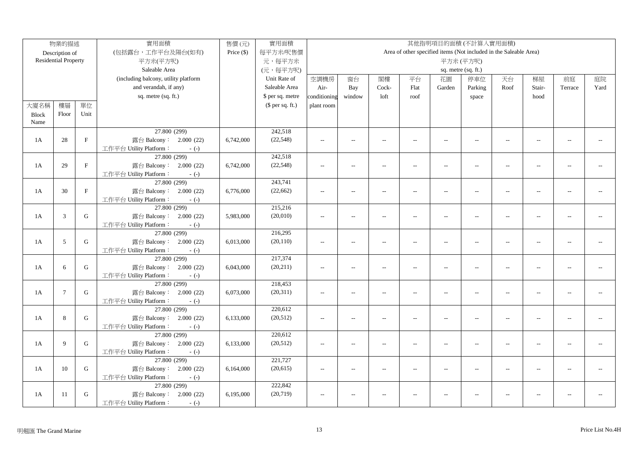|              | 物業的描述                       |              | 實用面積                                   | 售價(元)        | 實用面積             | 其他指明項目的面積(不計算入實用面積) |                          |                          |                          |                          |                          |                                                                   |                |                |      |
|--------------|-----------------------------|--------------|----------------------------------------|--------------|------------------|---------------------|--------------------------|--------------------------|--------------------------|--------------------------|--------------------------|-------------------------------------------------------------------|----------------|----------------|------|
|              | Description of              |              | (包括露台,工作平台及陽台(如有)                      | Price $(\$)$ | 每平方米/呎售價         |                     |                          |                          |                          |                          |                          | Area of other specified items (Not included in the Saleable Area) |                |                |      |
|              | <b>Residential Property</b> |              | 平方米(平方呎)                               |              | 元,每平方米           |                     |                          |                          |                          |                          | 平方米(平方呎)                 |                                                                   |                |                |      |
|              |                             |              | Saleable Area                          |              | (元,每平方呎)         |                     |                          |                          |                          |                          | sq. metre (sq. ft.)      |                                                                   |                |                |      |
|              |                             |              | (including balcony, utility platform   |              | Unit Rate of     | 空調機房                | 窗台                       | 閣樓                       | 平台                       | 花園                       | 停車位                      | 天台                                                                | 梯屋             | 前庭             | 庭院   |
|              |                             |              | and verandah, if any)                  |              | Saleable Area    | Air-                | Bay                      | Cock-                    | Flat                     | Garden                   | Parking                  | Roof                                                              | Stair-         | Terrace        | Yard |
|              |                             |              | sq. metre (sq. ft.)                    |              | \$ per sq. metre | conditioning        | window                   | loft                     | roof                     |                          | space                    |                                                                   | hood           |                |      |
| 大廈名稱         | 樓層                          | 單位           |                                        |              | $$$ per sq. ft.) | plant room          |                          |                          |                          |                          |                          |                                                                   |                |                |      |
| <b>Block</b> | Floor                       | Unit         |                                        |              |                  |                     |                          |                          |                          |                          |                          |                                                                   |                |                |      |
| Name         |                             |              |                                        |              |                  |                     |                          |                          |                          |                          |                          |                                                                   |                |                |      |
|              |                             |              | 27.800 (299)                           |              | 242,518          |                     |                          |                          |                          |                          |                          |                                                                   |                |                |      |
| 1A           | 28                          | $\mathbf F$  | 露台 Balcony: 2.000 (22)                 | 6,742,000    | (22, 548)        | $\sim$ $\sim$       | $\overline{a}$           | $\sim$                   | $\sim$                   | $\sim$                   | $\sim$                   | $\sim$                                                            | $\sim$         | $\overline{a}$ |      |
|              |                             |              | 工作平台 Utility Platform:<br>$-(-)$       |              |                  |                     |                          |                          |                          |                          |                          |                                                                   |                |                |      |
|              |                             |              | 27.800 (299)                           |              | 242,518          |                     |                          |                          |                          |                          |                          |                                                                   |                |                |      |
| 1A           | 29                          | $\mathbf{F}$ | 露台 Balcony: 2.000 (22)                 | 6,742,000    | (22, 548)        | $\overline{a}$      | $\overline{a}$           | $\sim$                   | $\overline{a}$           | $\overline{a}$           | $\sim$                   | $\overline{a}$                                                    | $\sim$         |                |      |
|              |                             |              | 工作平台 Utility Platform:<br>$-(-)$       |              |                  |                     |                          |                          |                          |                          |                          |                                                                   |                |                |      |
|              |                             |              | 27.800 (299)                           |              | 243,741          |                     |                          |                          |                          |                          |                          |                                                                   |                |                |      |
| 1A           | 30                          | $\mathbf F$  | 露台 Balcony: 2.000 (22)                 | 6,776,000    | (22, 662)        | $\sim$ $\sim$       | $\sim$                   | $\sim$                   | $\sim$                   | $\sim$                   | $\sim$                   | $\overline{a}$                                                    | $\sim$         |                |      |
|              |                             |              | 工作平台 Utility Platform:<br>$-(-)$       |              |                  |                     |                          |                          |                          |                          |                          |                                                                   |                |                |      |
|              |                             |              | 27.800 (299)                           |              | 215,216          |                     |                          |                          |                          |                          |                          |                                                                   |                |                |      |
| 1A           | $\sqrt{3}$                  | ${\bf G}$    | 露台 Balcony: 2.000 (22)                 | 5,983,000    | (20,010)         | $\sim$              | $\overline{a}$           | $\sim$                   | $\overline{a}$           | $\overline{a}$           | $\sim$ $\sim$            | $\sim$                                                            | $\sim$         | $\overline{a}$ |      |
|              |                             |              | 工作平台 Utility Platform:<br>$-(-)$       |              |                  |                     |                          |                          |                          |                          |                          |                                                                   |                |                |      |
|              |                             |              | 27.800 (299)                           |              | 216,295          |                     |                          |                          |                          |                          |                          |                                                                   |                |                |      |
| 1A           | 5                           | G            | 露台 Balcony: 2.000 (22)                 | 6,013,000    | (20, 110)        | $\overline{a}$      | $\overline{a}$           | $\overline{a}$           | $\overline{\phantom{a}}$ | $\overline{\phantom{a}}$ | $\overline{\phantom{a}}$ | $\overline{\phantom{a}}$                                          | $\overline{a}$ | $\overline{a}$ |      |
|              |                             |              | 工作平台 Utility Platform:<br>$-(-)$       |              |                  |                     |                          |                          |                          |                          |                          |                                                                   |                |                |      |
|              |                             |              | 27.800 (299)                           |              | 217,374          |                     |                          |                          |                          |                          |                          |                                                                   |                |                |      |
| 1A           | 6                           | ${\bf G}$    | 露台 Balcony: 2.000 (22)                 | 6,043,000    | (20, 211)        | $\overline{a}$      | $\overline{a}$           | $\sim$                   | $\overline{a}$           | $\overline{a}$           | $\overline{a}$           | $\sim$                                                            | $\sim$         | $\sim$ $\sim$  |      |
|              |                             |              | 工作平台 Utility Platform:<br>$-(-)$       |              |                  |                     |                          |                          |                          |                          |                          |                                                                   |                |                |      |
|              |                             |              | 27.800 (299)                           |              | 218,453          |                     |                          |                          |                          |                          |                          |                                                                   |                |                |      |
| 1A           | $7\phantom{.0}$             | $\mathbf G$  | 露台 Balcony: 2.000 (22)                 | 6,073,000    | (20,311)         | $\sim$              | $\overline{a}$           | $\overline{a}$           | $\overline{\phantom{a}}$ | $\overline{\phantom{a}}$ | $\overline{a}$           | $\overline{\phantom{a}}$                                          | $\overline{a}$ | $\overline{a}$ |      |
|              |                             |              | 工作平台 Utility Platform:<br>$-(-)$       |              |                  |                     |                          |                          |                          |                          |                          |                                                                   |                |                |      |
|              |                             |              | 27.800 (299)                           |              | 220,612          |                     |                          |                          |                          |                          |                          |                                                                   |                |                |      |
| 1A           | 8                           | G            | 露台 Balcony: 2.000 (22)                 | 6,133,000    | (20, 512)        | $\overline{a}$      | $\overline{\phantom{a}}$ | $\overline{a}$           | $\overline{a}$           | $\overline{a}$           | $\overline{\phantom{a}}$ | $\overline{\phantom{a}}$                                          | $\overline{a}$ | $-1$           |      |
|              |                             |              | 工作平台 Utility Platform:<br>$-(-)$       |              | 220,612          |                     |                          |                          |                          |                          |                          |                                                                   |                |                |      |
| 1A           | 9                           | G            | 27.800 (299)<br>露台 Balcony: 2.000 (22) |              | (20, 512)        |                     |                          |                          |                          |                          |                          |                                                                   |                | $\overline{a}$ |      |
|              |                             |              | 工作平台 Utility Platform:                 | 6,133,000    |                  | $\overline{a}$      | $\overline{a}$           | $\overline{a}$           | $\overline{a}$           | $\overline{\phantom{a}}$ | $\overline{a}$           | $\overline{\phantom{a}}$                                          | $\overline{a}$ |                |      |
|              |                             |              | $-(-)$<br>27.800 (299)                 |              | 221,727          |                     |                          |                          |                          |                          |                          |                                                                   |                |                |      |
| 1A           | 10                          | $\mathbf G$  | 露台 Balcony: 2.000 (22)                 | 6,164,000    | (20, 615)        | $\sim$ $\sim$       | $\overline{a}$           | $\overline{\phantom{a}}$ | $\overline{a}$           | $\overline{a}$           | $\overline{a}$           | $\sim$                                                            | $\overline{a}$ |                |      |
|              |                             |              | 工作平台 Utility Platform:<br>$-(-)$       |              |                  |                     |                          |                          |                          |                          |                          |                                                                   |                |                |      |
|              |                             |              | 27.800 (299)                           |              | 222,842          |                     |                          |                          |                          |                          |                          |                                                                   |                |                |      |
| 1A           | 11                          | ${\bf G}$    | 露台 Balcony: 2.000 (22)                 | 6,195,000    | (20, 719)        | $\sim$ $\sim$       | $\overline{a}$           | $\sim$                   |                          | $\overline{a}$           | $\sim$ $\sim$            | $\overline{a}$                                                    | $\overline{a}$ | $\overline{a}$ |      |
|              |                             |              | 工作平台 Utility Platform:<br>$-(-)$       |              |                  |                     |                          |                          |                          |                          |                          |                                                                   |                |                |      |
|              |                             |              |                                        |              |                  |                     |                          |                          |                          |                          |                          |                                                                   |                |                |      |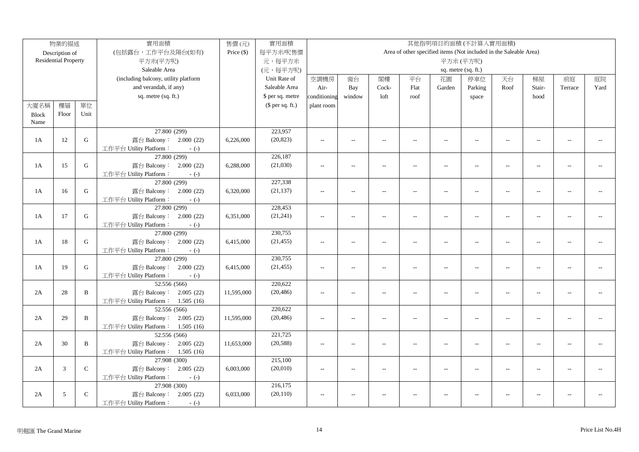|              | 物業的描述                       |             | 實用面積                                              | 售價(元)        | 實用面積             | 其他指明項目的面積(不計算入實用面積) |                          |                          |                          |                          |                                                                   |                          |                |                |      |
|--------------|-----------------------------|-------------|---------------------------------------------------|--------------|------------------|---------------------|--------------------------|--------------------------|--------------------------|--------------------------|-------------------------------------------------------------------|--------------------------|----------------|----------------|------|
|              | Description of              |             | (包括露台,工作平台及陽台(如有)                                 | Price $(\$)$ | 每平方米/呎售價         |                     |                          |                          |                          |                          | Area of other specified items (Not included in the Saleable Area) |                          |                |                |      |
|              | <b>Residential Property</b> |             | 平方米(平方呎)                                          |              | 元,每平方米           |                     |                          |                          |                          |                          | 平方米(平方呎)                                                          |                          |                |                |      |
|              |                             |             | Saleable Area                                     |              | (元,每平方呎)         |                     |                          |                          |                          |                          | sq. metre (sq. ft.)                                               |                          |                |                |      |
|              |                             |             | (including balcony, utility platform              |              | Unit Rate of     | 空調機房                | 窗台                       | 閣樓                       | 平台                       | 花園                       | 停車位                                                               | 天台                       | 梯屋             | 前庭             | 庭院   |
|              |                             |             | and verandah, if any)                             |              | Saleable Area    | Air-                | Bay                      | Cock-                    | Flat                     | Garden                   | Parking                                                           | Roof                     | Stair-         | Terrace        | Yard |
|              |                             |             | sq. metre (sq. ft.)                               |              | \$ per sq. metre | conditioning        | window                   | loft                     | roof                     |                          | space                                                             |                          | hood           |                |      |
| 大廈名稱         | 樓層                          | 單位          |                                                   |              | $$$ per sq. ft.) | plant room          |                          |                          |                          |                          |                                                                   |                          |                |                |      |
| <b>Block</b> | Floor                       | Unit        |                                                   |              |                  |                     |                          |                          |                          |                          |                                                                   |                          |                |                |      |
| Name         |                             |             |                                                   |              |                  |                     |                          |                          |                          |                          |                                                                   |                          |                |                |      |
|              |                             |             | 27.800 (299)                                      |              | 223,957          |                     |                          |                          |                          |                          |                                                                   |                          |                |                |      |
| 1A           | 12                          | ${\bf G}$   | 露台 Balcony: 2.000 (22)                            | 6,226,000    | (20, 823)        | $\overline{a}$      | $\overline{a}$           | $\sim$                   | $\sim$                   | $\overline{a}$           | $\sim$                                                            | $\sim$                   | $\sim$         | $\sim$         |      |
|              |                             |             | 工作平台 Utility Platform:<br>$-(-)$                  |              |                  |                     |                          |                          |                          |                          |                                                                   |                          |                |                |      |
|              |                             |             | 27.800 (299)                                      |              | 226,187          |                     |                          |                          |                          |                          |                                                                   |                          |                |                |      |
| 1A           | 15                          | $\mathbf G$ | 露台 Balcony: 2.000 (22)                            | 6,288,000    | (21,030)         | $\sim$              | $\overline{\phantom{a}}$ | $\overline{\phantom{a}}$ | $\overline{a}$           | $\overline{\phantom{a}}$ | $\overline{a}$                                                    | $\overline{\phantom{a}}$ | $\overline{a}$ | $-$            |      |
|              |                             |             | 工作平台 Utility Platform:<br>$-(-)$                  |              |                  |                     |                          |                          |                          |                          |                                                                   |                          |                |                |      |
|              |                             |             | 27.800 (299)                                      |              | 227,338          |                     |                          |                          |                          |                          |                                                                   |                          |                |                |      |
| 1A           | 16                          | $\mathbf G$ | 露台 Balcony: 2.000 (22)                            | 6,320,000    | (21, 137)        | $\sim$ $\sim$       | $\overline{a}$           | $\sim$                   | $\overline{a}$           | $\overline{a}$           | $\overline{a}$                                                    | $\overline{a}$           | $\overline{a}$ |                |      |
|              |                             |             | 工作平台 Utility Platform:<br>$-(-)$                  |              |                  |                     |                          |                          |                          |                          |                                                                   |                          |                |                |      |
|              |                             |             | 27.800 (299)                                      |              | 228,453          |                     |                          |                          |                          |                          |                                                                   |                          |                |                |      |
| 1A           | 17                          | ${\bf G}$   | 露台 Balcony: 2.000 (22)                            | 6,351,000    | (21, 241)        | $\overline{a}$      | $\overline{a}$           | $\sim$                   | $\overline{a}$           | $\overline{\phantom{a}}$ | $\overline{a}$                                                    | $\overline{a}$           | $\overline{a}$ | $\overline{a}$ |      |
|              |                             |             | 工作平台 Utility Platform:<br>$-(-)$                  |              |                  |                     |                          |                          |                          |                          |                                                                   |                          |                |                |      |
|              |                             |             | 27.800 (299)                                      |              | 230,755          |                     |                          |                          |                          |                          |                                                                   |                          |                |                |      |
| 1A           | 18                          | ${\bf G}$   | 露台 Balcony: 2.000 (22)                            | 6,415,000    | (21, 455)        | $\overline{a}$      | $\overline{a}$           | $\overline{a}$           | $\overline{a}$           | $\overline{\phantom{a}}$ | $\overline{a}$                                                    | $\overline{a}$           | $\sim$         | $\sim$ $\sim$  |      |
|              |                             |             | 工作平台 Utility Platform:<br>$-(-)$                  |              |                  |                     |                          |                          |                          |                          |                                                                   |                          |                |                |      |
|              |                             |             | 27.800 (299)                                      |              | 230,755          |                     |                          |                          |                          |                          |                                                                   |                          |                |                |      |
| 1A           | 19                          | ${\bf G}$   | 露台 Balcony: 2.000 (22)                            | 6,415,000    | (21, 455)        | $\overline{a}$      | $\overline{a}$           | $\overline{a}$           | $\overline{\phantom{a}}$ | $\overline{a}$           | $\overline{a}$                                                    | $\overline{\phantom{a}}$ | $\overline{a}$ | $\overline{a}$ |      |
|              |                             |             | 工作平台 Utility Platform:<br>$-(-)$                  |              |                  |                     |                          |                          |                          |                          |                                                                   |                          |                |                |      |
|              |                             |             | 52.556(566)                                       |              | 220,622          |                     |                          |                          |                          |                          |                                                                   |                          |                |                |      |
| 2A           | 28                          | B           | 露台 Balcony: 2.005 (22)                            | 11,595,000   | (20, 486)        | $\overline{a}$      | $\overline{a}$           | $\overline{a}$           | $\overline{a}$           | $\overline{\phantom{a}}$ | $\overline{a}$                                                    | $\overline{a}$           | $\sim$         | $\overline{a}$ |      |
|              |                             |             | 工作平台 Utility Platform: 1.505 (16)                 |              |                  |                     |                          |                          |                          |                          |                                                                   |                          |                |                |      |
|              |                             |             | 52.556 (566)                                      |              | 220,622          |                     |                          |                          |                          |                          |                                                                   |                          |                |                |      |
| 2A           | 29                          | B           | 露台 Balcony: 2.005 (22)                            | 11,595,000   | (20, 486)        | $\overline{a}$      | $\overline{a}$           | $\sim$                   | $\overline{a}$           | $\sim$                   | $\overline{a}$                                                    | $\sim$                   | $\sim$         | $\sim$ $\sim$  |      |
|              |                             |             | 工作平台 Utility Platform: 1.505 (16)<br>52.556 (566) |              | 221,725          |                     |                          |                          |                          |                          |                                                                   |                          |                |                |      |
| 2A           | 30                          | B           | 露台 Balcony: 2.005 (22)                            | 11,653,000   | (20, 588)        | $\overline{a}$      | $\overline{a}$           | $\overline{a}$           | $\overline{a}$           | $\overline{\phantom{a}}$ | $\overline{a}$                                                    | $\overline{a}$           | $\overline{a}$ | $\overline{a}$ |      |
|              |                             |             | 工作平台 Utility Platform: 1.505 (16)                 |              |                  |                     |                          |                          |                          |                          |                                                                   |                          |                |                |      |
|              |                             |             | 27.908 (300)                                      |              | 215,100          |                     |                          |                          |                          |                          |                                                                   |                          |                |                |      |
| 2A           | 3                           | $\mathbf C$ | 露台 Balcony: 2.005 (22)                            | 6,003,000    | (20,010)         | $\sim$ $\sim$       | $\overline{a}$           | $\sim$                   | $\overline{a}$           | $-$                      | $\overline{a}$                                                    | $\overline{a}$           |                |                |      |
|              |                             |             | 工作平台 Utility Platform:<br>$-(-)$                  |              |                  |                     |                          |                          |                          |                          |                                                                   |                          |                |                |      |
|              |                             |             | 27.908(300)                                       |              | 216,175          |                     |                          |                          |                          |                          |                                                                   |                          |                |                |      |
| 2A           | 5                           | $\mathsf C$ | 露台 Balcony: 2.005 (22)                            | 6,033,000    | (20, 110)        | $\overline{a}$      |                          |                          |                          | $\overline{a}$           | $\overline{a}$                                                    | $\overline{a}$           |                |                |      |
|              |                             |             | 工作平台 Utility Platform:<br>$-(-)$                  |              |                  |                     |                          |                          |                          |                          |                                                                   |                          |                |                |      |
|              |                             |             |                                                   |              |                  |                     |                          |                          |                          |                          |                                                                   |                          |                |                |      |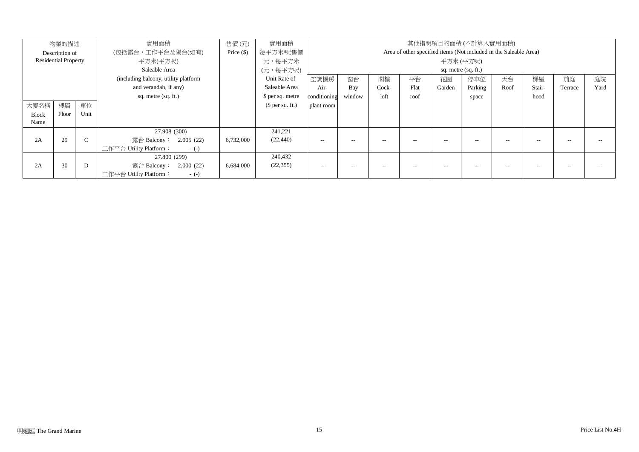| 物業的描述        |                             |        | 實用面積                                  | 售價(元)        | 實用面積             |                                                                   |        | 其他指明項目的面積 (不計算入實用面積) |      |        |         |      |        |         |      |  |  |
|--------------|-----------------------------|--------|---------------------------------------|--------------|------------------|-------------------------------------------------------------------|--------|----------------------|------|--------|---------|------|--------|---------|------|--|--|
|              | Description of              |        | (包括露台,工作平台及陽台(如有)                     | Price $(\$)$ | 每平方米/呎售價         | Area of other specified items (Not included in the Saleable Area) |        |                      |      |        |         |      |        |         |      |  |  |
|              | <b>Residential Property</b> |        | 平方米(平方呎)                              |              | 元,每平方米           | 平方米(平方呎)                                                          |        |                      |      |        |         |      |        |         |      |  |  |
|              |                             |        | Saleable Area                         |              | (元,每平方呎)         | sq. metre (sq. ft.)                                               |        |                      |      |        |         |      |        |         |      |  |  |
|              |                             |        | (including balcony, utility platform) |              | Unit Rate of     | 空調機房                                                              | 窗台     | 閣樓                   | 平台   | 花園     | 停車位     | 天台   | 梯屋     | 前庭      | 庭院   |  |  |
|              |                             |        | and verandah, if any)                 |              | Saleable Area    | Air-                                                              | Bay    | Cock-                | Flat | Garden | Parking | Roof | Stair- | Terrace | Yard |  |  |
|              |                             |        | sq. metre (sq. ft.)                   |              | \$ per sq. metre | conditioning                                                      | window | loft                 | roof |        | space   |      | hood   |         |      |  |  |
| 大廈名稱         | 樓層                          | 單位     |                                       |              | $$$ per sq. ft.) | plant room                                                        |        |                      |      |        |         |      |        |         |      |  |  |
| <b>Block</b> | Floor                       | Unit   |                                       |              |                  |                                                                   |        |                      |      |        |         |      |        |         |      |  |  |
| Name         |                             |        |                                       |              |                  |                                                                   |        |                      |      |        |         |      |        |         |      |  |  |
|              |                             |        | 27.908 (300)                          |              | 241,221          |                                                                   |        |                      |      |        |         |      |        |         |      |  |  |
| 2A           | 29                          | $\sim$ | 露台 Balcony: 2.005 (22)                | 6,732,000    | (22, 440)        | $\sim$ $-$                                                        | --     | $-$                  | $-$  | --     | $-$     | $-$  |        |         |      |  |  |
|              |                             |        | 工作平台 Utility Platform:<br>$-(-)$      |              |                  |                                                                   |        |                      |      |        |         |      |        |         |      |  |  |
|              |                             |        | 27.800 (299)                          |              | 240,432          |                                                                   |        |                      |      |        |         |      |        |         |      |  |  |
| 2A           | 30                          | D      | 露台 Balcony: 2.000 (22)                | 6,684,000    | (22, 355)        | $- -$                                                             |        |                      |      |        |         |      |        |         |      |  |  |
|              |                             |        | 工作平台 Utility Platform:<br>$-(-)$      |              |                  |                                                                   |        |                      |      |        |         |      |        |         |      |  |  |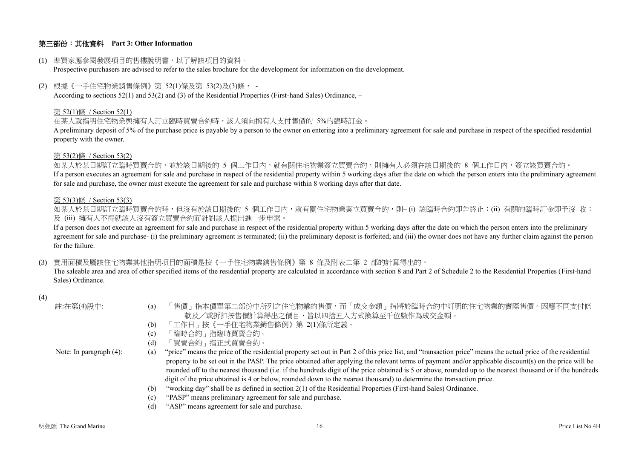## 第三部份:其他資料 **Part 3: Other Information**

#### (1) 準買家應參閱發展項目的售樓說明書,以了解該項目的資料。

Prospective purchasers are advised to refer to the sales brochure for the development for information on the development.

(2) 根據《一手住宅物業銷售條例》第 52(1)條及第 53(2)及(3)條, -

According to sections 52(1) and 53(2) and (3) of the Residential Properties (First-hand Sales) Ordinance, –

#### 第 52(1)條 / Section 52(1)

在某人就指明住宅物業與擁有人訂立臨時買賣合約時,該人須向擁有人支付售價的 5%的臨時訂金。

A preliminary deposit of 5% of the purchase price is payable by a person to the owner on entering into a preliminary agreement for sale and purchase in respect of the specified residential property with the owner.

#### 第 53(2)條 / Section 53(2)

如某人於某日期訂立臨時買賣合約,並於該日期後的 5 個工作日內,就有關住宅物業簽立買賣合約,則擁有人必須在該日期後的 8 個工作日內,簽立該買賣合約。 If a person executes an agreement for sale and purchase in respect of the residential property within 5 working days after the date on which the person enters into the preliminary agreement for sale and purchase, the owner must execute the agreement for sale and purchase within 8 working days after that date.

#### 第 53(3)條 / Section 53(3)

如某人於某日期訂立臨時買賣合約時,但沒有於該日期後的 5 個工作日內,就有關住宅物業簽立買賣合約,則– (i) 該臨時合約即告終止;(ii) 有關的臨時訂金即予沒 收; 及 (iii) 擁有人不得就該人沒有簽立買賣合約而針對該人提出進一步申索。

If a person does not execute an agreement for sale and purchase in respect of the residential property within 5 working days after the date on which the person enters into the preliminary agreement for sale and purchase- (i) the preliminary agreement is terminated; (ii) the preliminary deposit is forfeited; and (iii) the owner does not have any further claim against the person for the failure.

(3) 實用面積及屬該住宅物業其他指明項目的面積是按《一手住宅物業銷售條例》第 8 條及附表二第 2 部的計算得出的。

The saleable area and area of other specified items of the residential property are calculated in accordance with section 8 and Part 2 of Schedule 2 to the Residential Properties (First-hand Sales) Ordinance.

#### (4)

| 註:在第(4)段中:                 | 「售價」指本價單第二部份中所列之住宅物業的售價,而「成交金額」指將於臨時合約中訂明的住宅物業的實際售價。因應不同支付條<br>(a)<br>款及/或折扣按售價計算得出之價目,皆以四捨五入方式換算至千位數作為成交金額。                                                       |
|----------------------------|--------------------------------------------------------------------------------------------------------------------------------------------------------------------|
|                            | 「工作日」按《一手住宅物業銷售條例》第 2(1)條所定義。<br>(b)                                                                                                                               |
|                            | 「臨時合約」指臨時買賣合約。<br>(c)                                                                                                                                              |
|                            | 「買賣合約」指正式買賣合約。<br>(d)                                                                                                                                              |
| Note: In paragraph $(4)$ : | "price" means the price of the residential property set out in Part 2 of this price list, and "transaction price" means the actual price of the residential<br>(a) |
|                            | property to be set out in the PASP. The price obtained after applying the relevant terms of payment and/or applicable discount(s) on the price will be             |
|                            | rounded off to the nearest thousand (i.e. if the hundreds digit of the price obtained is 5 or above, rounded up to the nearest thousand or if the hundreds         |
|                            | digit of the price obtained is 4 or below, rounded down to the nearest thousand) to determine the transaction price.                                               |
|                            | "working day" shall be as defined in section 2(1) of the Residential Properties (First-hand Sales) Ordinance.<br>(b)                                               |
|                            | "PASP" means preliminary agreement for sale and purchase.<br>(c)                                                                                                   |
|                            | "ASP" means agreement for sale and purchase.<br>(d)                                                                                                                |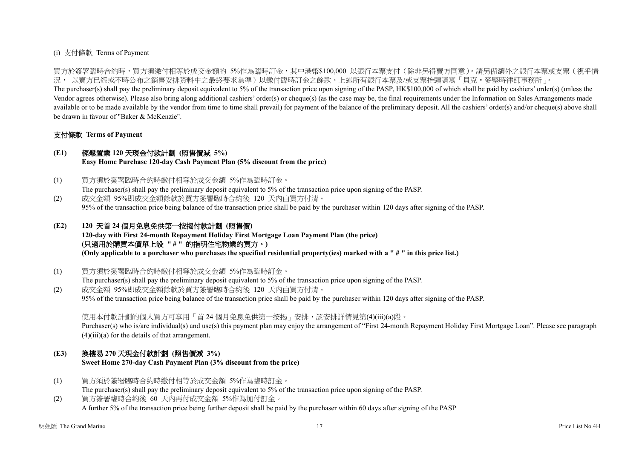## (i) 支付條款 Terms of Payment

買方於簽署臨時合約時,買方須繳付相等於成交金額的 5%作為臨時訂金,其中港幣\$100,000 以銀行本票支付(除非另得賣方同意)。請另備額外之銀行本票或支票(視乎情 況, 以賣方已經或不時公布之銷售安排資料中之最終要求為準)以繳付臨時訂金之餘款。上述所有銀行本票及/或支票抬頭請寫「貝克‧麥堅時律師事務所」。

The purchaser(s) shall pay the preliminary deposit equivalent to 5% of the transaction price upon signing of the PASP, HK\$100,000 of which shall be paid by cashiers' order(s) (unless the Vendor agrees otherwise). Please also bring along additional cashiers' order(s) or cheque(s) (as the case may be, the final requirements under the Information on Sales Arrangements made available or to be made available by the vendor from time to time shall prevail) for payment of the balance of the preliminary deposit. All the cashiers' order(s) and/or cheque(s) above shall be drawn in favour of "Baker & McKenzie".

## 支付條款 **Terms of Payment**

## **(E1)** 輕鬆置業 **120** 天現金付款計劃 **(**照售價減 **5%)**

**Easy Home Purchase 120-day Cash Payment Plan (5% discount from the price)**

- (1) 買方須於簽署臨時合約時繳付相等於成交金額 5%作為臨時訂金。 The purchaser(s) shall pay the preliminary deposit equivalent to 5% of the transaction price upon signing of the PASP.
- (2) 成交金額 95%即成交金額餘款於買方簽署臨時合約後 120 天內由買方付清。 95% of the transaction price being balance of the transaction price shall be paid by the purchaser within 120 days after signing of the PASP.

# **(E2) 120** 天首 **24** 個月免息免供第一按揭付款計劃 **(**照售價**)**

**120-day with First 24-month Repayment Holiday First Mortgage Loan Payment Plan (the price) (**只適用於購買本價單上設 **" # "** 的指明住宅物業的買方。**) (Only applicable to a purchaser who purchases the specified residential property(ies) marked with a " # " in this price list.)**

(1) 買方須於簽署臨時合約時繳付相等於成交金額 5%作為臨時訂金。

The purchaser(s) shall pay the preliminary deposit equivalent to 5% of the transaction price upon signing of the PASP. (2) 成交金額 95%即成交金額餘款於買方簽署臨時合約後 120 天內由買方付清。

95% of the transaction price being balance of the transaction price shall be paid by the purchaser within 120 days after signing of the PASP.

使用本付款計劃的個人買方可享用「首 24 個月免息免供第一按揭 」安排, 該安排詳情見第(4)(iii)(a)段。

Purchaser(s) who is/are individual(s) and use(s) this payment plan may enjoy the arrangement of "First 24-month Repayment Holiday First Mortgage Loan". Please see paragraph  $(4)(iii)(a)$  for the details of that arrangement.

## **(E3)** 換樓易 **270** 天現金付款計劃 **(**照售價減 **3%)**

**Sweet Home 270-day Cash Payment Plan (3% discount from the price)**

- (1) 買方須於簽署臨時合約時繳付相等於成交金額 5%作為臨時訂金。 The purchaser(s) shall pay the preliminary deposit equivalent to 5% of the transaction price upon signing of the PASP.
- (2) 買方簽署臨時合約後 60 天內再付成交金額 5%作為加付訂金。 A further 5% of the transaction price being further deposit shall be paid by the purchaser within 60 days after signing of the PASP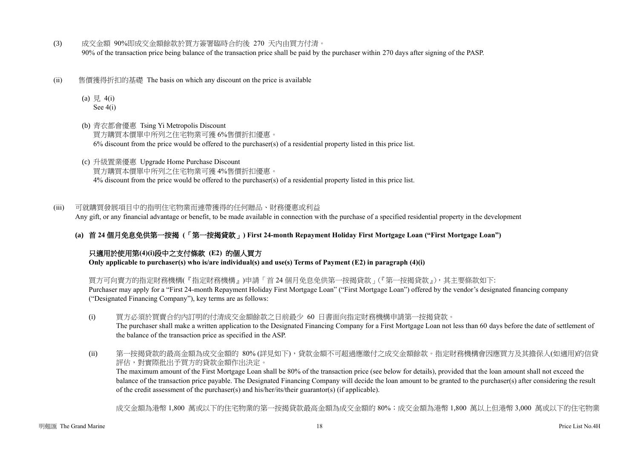- (3) 成交金額 90%即成交金額餘款於買方簽署臨時合約後 270 天內由買方付清。 90% of the transaction price being balance of the transaction price shall be paid by the purchaser within 270 days after signing of the PASP.
- (ii) 售價獲得折扣的基礎 The basis on which any discount on the price is available
	- (a)  $\frac{1}{7}$  4(i) See 4(i)
	- (b) 青衣都會優惠 Tsing Yi Metropolis Discount 買方購買本價單中所列之住宅物業可獲 6%售價折扣優惠。  $6\%$  discount from the price would be offered to the purchaser(s) of a residential property listed in this price list.
	- (c) 升級置業優惠 Upgrade Home Purchase Discount 買方購買本價單中所列之住宅物業可獲 4%售價折扣優惠。 4% discount from the price would be offered to the purchaser(s) of a residential property listed in this price list.

(iii) 可就購買發展項目中的指明住宅物業而連帶獲得的任何贈品、財務優惠或利益 Any gift, or any financial advantage or benefit, to be made available in connection with the purchase of a specified residential property in the development

**(a)** 首 **24** 個月免息免供第一按揭 **(**「第一按揭貸款」**) First 24-month Repayment Holiday First Mortgage Loan ("First Mortgage Loan")**

# 只適用於使用第**(4)(i)**段中之支付條款 **(E2)** 的個人買方

**Only applicable to purchaser(s) who is/are individual(s) and use(s) Terms of Payment (E2) in paragraph (4)(i)** 

買方可向賣方的指定財務機構(『指定財務機構』)申請「首 24 個月免息免供第一按揭貸款」(『第一按揭貸款』),其主要條款如下: Purchaser may apply for a "First 24-month Repayment Holiday First Mortgage Loan" ("First Mortgage Loan") offered by the vendor's designated financing company ("Designated Financing Company"), key terms are as follows:

- (i) 買方必須於買賣合約內訂明的付清成交金額餘款之日前最少 60 日書面向指定財務機構申請第一按揭貸款。 The purchaser shall make a written application to the Designated Financing Company for a First Mortgage Loan not less than 60 days before the date of settlement of the balance of the transaction price as specified in the ASP.
- (ii) 第一按揭貸款的最高金額為成交金額的 80% (詳見如下),貸款金額不可超過應繳付之成交金額餘款。指定財務機構會因應買方及其擔保人(如適用)的信貸 評估,對實際批出予買方的貸款金額作出決定。

The maximum amount of the First Mortgage Loan shall be 80% of the transaction price (see below for details), provided that the loan amount shall not exceed the balance of the transaction price payable. The Designated Financing Company will decide the loan amount to be granted to the purchaser(s) after considering the result of the credit assessment of the purchaser(s) and his/her/its/their guarantor(s) (if applicable).

成交金額為港幣 1,800 萬或以下的住宅物業的第一按揭貸款最高金額為成交金額的 80%;成交金額為港幣 1,800 萬以上但港幣 3,000 萬或以下的住宅物業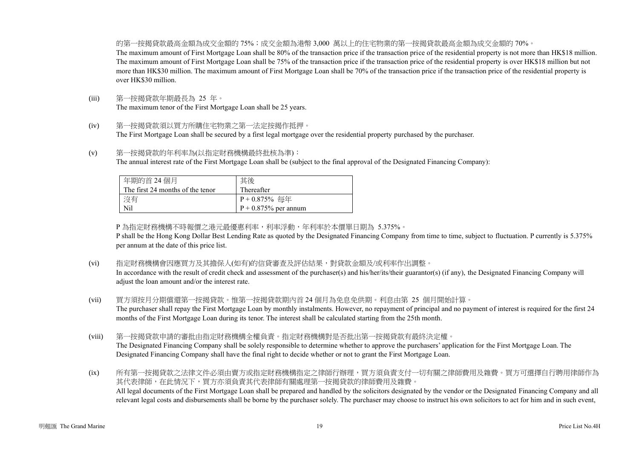的第一按揭貸款最高金額為成交金額的 75%;成交金額為港幣 3,000 萬以上的住宅物業的第一按揭貸款最高金額為成交金額的 70%。 The maximum amount of First Mortgage Loan shall be 80% of the transaction price if the transaction price of the residential property is not more than HK\$18 million. The maximum amount of First Mortgage Loan shall be 75% of the transaction price if the transaction price of the residential property is over HK\$18 million but not more than HK\$30 million. The maximum amount of First Mortgage Loan shall be 70% of the transaction price if the transaction price of the residential property is over HK\$30 million.

- (iii) 第一按揭貸款年期最長為 25 年。 The maximum tenor of the First Mortgage Loan shall be 25 years.
- (iv) 第一按揭貸款須以買方所購住宅物業之第一法定按揭作抵押。 The First Mortgage Loan shall be secured by a first legal mortgage over the residential property purchased by the purchaser.
- (v) 第一按揭貸款的年利率為(以指定財務機構最終批核為準): The annual interest rate of the First Mortgage Loan shall be (subject to the final approval of the Designated Financing Company):

| 年期的首 24 個月<br>The first 24 months of the tenor | 其後<br>Thereafter        |
|------------------------------------------------|-------------------------|
|                                                |                         |
| 沒有                                             | $P + 0.875\%$ 每年        |
| Nil                                            | $P + 0.875\%$ per annum |

P 為指定財務機構不時報價之港元最優惠利率,利率浮動,年利率於本價單日期為 5.375%。

P shall be the Hong Kong Dollar Best Lending Rate as quoted by the Designated Financing Company from time to time, subject to fluctuation. P currently is 5.375% per annum at the date of this price list.

(vi) 指定財務機構會因應買方及其擔保人(如有)的信貸審查及評估結果,對貸款金額及/或利率作出調整。

In accordance with the result of credit check and assessment of the purchaser(s) and his/her/its/their guarantor(s) (if any), the Designated Financing Company will adjust the loan amount and/or the interest rate.

- (vii) 買方須按月分期償還第一按揭貸款。惟第一按揭貸款期內首 24 個月為免息免供期。利息由第 25 個月開始計算。 The purchaser shall repay the First Mortgage Loan by monthly instalments. However, no repayment of principal and no payment of interest is required for the first 24 months of the First Mortgage Loan during its tenor. The interest shall be calculated starting from the 25th month.
- (viii) 第一按揭貸款申請的審批由指定財務機構全權負責。指定財務機構對是否批出第一按揭貸款有最終決定權。 The Designated Financing Company shall be solely responsible to determine whether to approve the purchasers' application for the First Mortgage Loan. The Designated Financing Company shall have the final right to decide whether or not to grant the First Mortgage Loan.

(ix) 所有第一按揭貸款之法律文件必須由賣方或指定財務機構指定之律師行辦理,買方須負責支付一切有關之律師費用及雜費。買方可選擇自行聘用律師作為 其代表律師,在此情況下,買方亦須負責其代表律師有關處理第一按揭貸款的律師費用及雜費。 All legal documents of the First Mortgage Loan shall be prepared and handled by the solicitors designated by the vendor or the Designated Financing Company and all relevant legal costs and disbursements shall be borne by the purchaser solely. The purchaser may choose to instruct his own solicitors to act for him and in such event,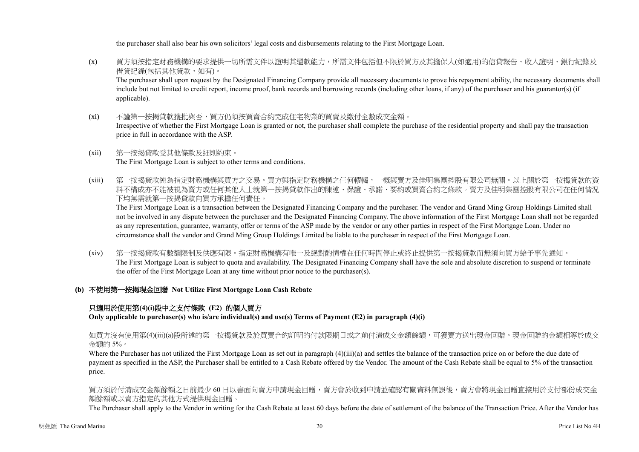the purchaser shall also bear his own solicitors' legal costs and disbursements relating to the First Mortgage Loan.

- (x) 買方須按指定財務機構的要求提供一切所需文件以證明其還款能力,所需文件包括但不限於買方及其擔保人(如適用)的信貸報告、收入證明、銀行紀錄及 借貸紀錄(包括其他貸款,如有)。 The purchaser shall upon request by the Designated Financing Company provide all necessary documents to prove his repayment ability, the necessary documents shall include but not limited to credit report, income proof, bank records and borrowing records (including other loans, if any) of the purchaser and his guarantor(s) (if applicable).
- (xi) 不論第一按揭貸款獲批與否,買方仍須按買賣合約完成住宅物業的買賣及繳付全數成交金額。 Irrespective of whether the First Mortgage Loan is granted or not, the purchaser shall complete the purchase of the residential property and shall pay the transaction price in full in accordance with the ASP.
- (xii) 第一按揭貸款受其他條款及細則約束。 The First Mortgage Loan is subject to other terms and conditions.
- (xiii) 第一按揭貸款純為指定財務機構與買方之交易。買方與指定財務機構之任何轇輵,一概與賣方及佳明集團控股有限公司無關。以上關於第一按揭貸款的資 料不構成亦不能被視為賣方或任何其他人士就第一按揭貸款作出的陳述、保證、承諾、要約或買賣合約之條款。賣方及佳明集團控股有限公司在任何情況 下均無需就第一按揭貸款向買方承擔任何責任。

The First Mortgage Loan is a transaction between the Designated Financing Company and the purchaser. The vendor and Grand Ming Group Holdings Limited shall not be involved in any dispute between the purchaser and the Designated Financing Company. The above information of the First Mortgage Loan shall not be regarded as any representation, guarantee, warranty, offer or terms of the ASP made by the vendor or any other parties in respect of the First Mortgage Loan. Under no circumstance shall the vendor and Grand Ming Group Holdings Limited be liable to the purchaser in respect of the First Mortgage Loan.

- (xiv) 第一按揭貸款有數額限制及供應有限。指定財務機構有唯一及絕對酌情權在任何時間停止或終止提供第一按揭貸款而無須向買方給予事先通知。 The First Mortgage Loan is subject to quota and availability. The Designated Financing Company shall have the sole and absolute discretion to suspend or terminate the offer of the First Mortgage Loan at any time without prior notice to the purchaser(s).
- **(b)** 不使用第一按揭現金回贈 **Not Utilize First Mortgage Loan Cash Rebate**

# 只適用於使用第**(4)(i)**段中之支付條款 **(E2)** 的個人買方

**Only applicable to purchaser(s) who is/are individual(s) and use(s) Terms of Payment (E2) in paragraph (4)(i)**

如買方沒有使用第(4)(iii)(a)段所述的第一按揭貸款及於買賣合約訂明的付款限期日或之前付清成交金額餘額,可獲賣方送出現金回贈。現金回贈的金額相等於成交 金額的 5%。

Where the Purchaser has not utilized the First Mortgage Loan as set out in paragraph (4)(iii)(a) and settles the balance of the transaction price on or before the due date of payment as specified in the ASP, the Purchaser shall be entitled to a Cash Rebate offered by the Vendor. The amount of the Cash Rebate shall be equal to 5% of the transaction price.

買方須於付清成交金額餘額之日前最少 60 日以書面向賣方申請現金回贈,賣方會於收到申請並確認有關資料無誤後,賣方會將現金回贈直接用於支付部份成交金 額餘額或以賣方指定的其他方式提供現金回贈。

The Purchaser shall apply to the Vendor in writing for the Cash Rebate at least 60 days before the date of settlement of the balance of the Transaction Price. After the Vendor has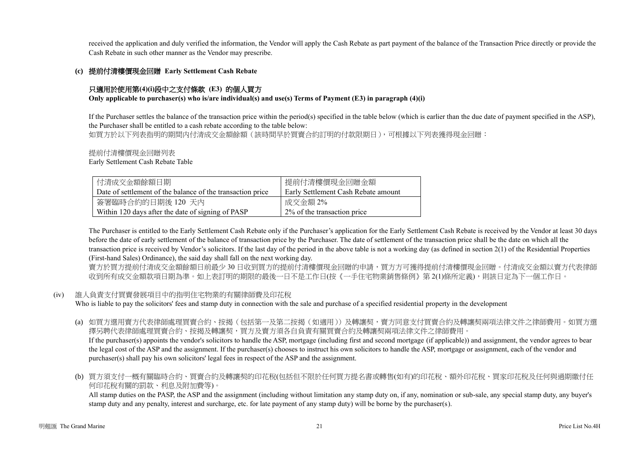received the application and duly verified the information, the Vendor will apply the Cash Rebate as part payment of the balance of the Transaction Price directly or provide the Cash Rebate in such other manner as the Vendor may prescribe.

### **(c)** 提前付清樓價現金回贈 **Early Settlement Cash Rebate**

## 只適用於使用第**(4)(i)**段中之支付條款 **(E3)** 的個人買方

**Only applicable to purchaser(s) who is/are individual(s) and use(s) Terms of Payment (E3) in paragraph (4)(i)**

If the Purchaser settles the balance of the transaction price within the period(s) specified in the table below (which is earlier than the due date of payment specified in the ASP), the Purchaser shall be entitled to a cash rebate according to the table below:

如買方於以下列表指明的期間内付清成交金額餘額(該時間早於買賣合約訂明的付款限期日),可根據以下列表獲得現金回贈:

提前付清樓價現金回贈列表

Early Settlement Cash Rebate Table

| 付清成交金額餘額日期                                                 | 提前付清樓價現金回贈金額                        |
|------------------------------------------------------------|-------------------------------------|
| Date of settlement of the balance of the transaction price | Early Settlement Cash Rebate amount |
| 簽署臨時合約的日期後 120 天內                                          | 成交金額 2%                             |
| Within 120 days after the date of signing of PASP          | 2\% of the transaction price        |

The Purchaser is entitled to the Early Settlement Cash Rebate only if the Purchaser's application for the Early Settlement Cash Rebate is received by the Vendor at least 30 days before the date of early settlement of the balance of transaction price by the Purchaser. The date of settlement of the transaction price shall be the date on which all the transaction price is received by Vendor's solicitors. If the last day of the period in the above table is not a working day (as defined in section 2(1) of the Residential Properties (First-hand Sales) Ordinance), the said day shall fall on the next working day.

賣方於買方提前付清成交金額餘額日前最少 30 日收到買方的提前付清樓價現金回贈的申請,買方方可獲得提前付清樓價現金回贈。付清成交金額以賣方代表律師 收到所有成交金額款項日期為準。如上表訂明的期限的最後一日不是工作日(按《一手住宅物業銷售條例》第 2(1)條所定義),則該日定為下一個工作日。

#### (iv) 誰人負責支付買賣發展項目中的指明住宅物業的有關律師費及印花稅

Who is liable to pay the solicitors' fees and stamp duty in connection with the sale and purchase of a specified residential property in the development

- (a) 如買方選用賣方代表律師處理買賣合約、按揭(包括第一及第二按揭(如適用))及轉讓契,賣方同意支付買賣合約及轉讓契兩項法律文件之律師費用。如買方選 擇另聘代表律師處理買賣合約、按揭及轉讓契,買方及賣方須各自負責有關買賣合約及轉讓契兩項法律文件之律師費用。 If the purchaser(s) appoints the vendor's solicitors to handle the ASP, mortgage (including first and second mortgage (if applicable)) and assignment, the vendor agrees to bear the legal cost of the ASP and the assignment. If the purchaser(s) chooses to instruct his own solicitors to handle the ASP, mortgage or assignment, each of the vendor and purchaser(s) shall pay his own solicitors' legal fees in respect of the ASP and the assignment.
- (b) 買方須支付一概有關臨時合約、買賣合約及轉讓契的印花稅(包括但不限於任何買方提名書或轉售(如有)的印花稅、額外印花稅、買家印花稅及任何與過期繳付任 何印花稅有關的罰款、利息及附加費等)。

All stamp duties on the PASP, the ASP and the assignment (including without limitation any stamp duty on, if any, nomination or sub-sale, any special stamp duty, any buyer's stamp duty and any penalty, interest and surcharge, etc. for late payment of any stamp duty) will be borne by the purchaser(s).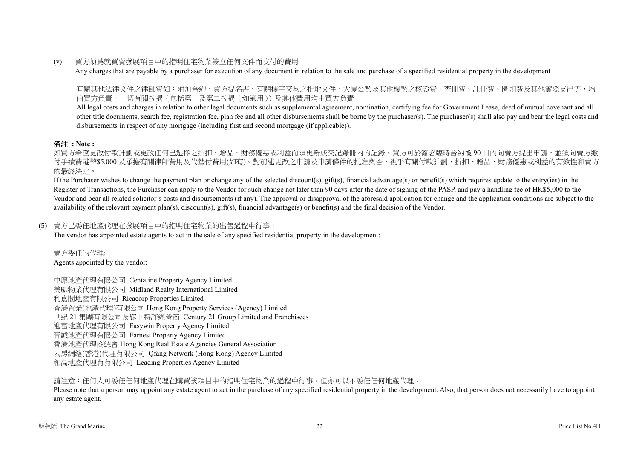## (v) 買方須爲就買賣發展項目中的指明住宅物業簽立任何文件而支付的費用

Any charges that are payable by a purchaser for execution of any document in relation to the sale and purchase of a specified residential property in the development

有關其他法律文件之律師費如:附加合約、買方提名書、有關樓宇交易之批地文件、大廈公契及其他樓契之核證費、查冊費、註冊費、圖則費及其他實際支出等,均 由買方負責,一切有關按揭(包括第一及第二按揭(如適用))及其他費用均由買方負責。

All legal costs and charges in relation to other legal documents such as supplemental agreement, nomination, certifying fee for Government Lease, deed of mutual covenant and all other title documents, search fee, registration fee, plan fee and all other disbursements shall be borne by the purchaser(s). The purchaser(s) shall also pay and bear the legal costs and disbursements in respect of any mortgage (including first and second mortgage (if applicable)).

# 備註 **: Note :**

如買方希望更改付款計劃或更改任何已選擇之折扣、贈品、財務優惠或利益而須更新成交記錄冊內的記錄,買方可於簽署臨時合約後 90 日内向賣方提出申請,並須向賣方繳 付手續費港幣\$5,000 及承擔有關律師費用及代墊付費用(如有)。對前述更改之申請及申請條件的批准與否,視乎有關付款計劃、折扣、贈品、財務優惠或利益的有效性和賣方 的最終決定。

If the Purchaser wishes to change the payment plan or change any of the selected discount(s), gift(s), financial advantage(s) or benefit(s) which requires update to the entry(ies) in the Register of Transactions, the Purchaser can apply to the Vendor for such change not later than 90 days after the date of signing of the PASP, and pay a handling fee of HK\$5,000 to the Vendor and bear all related solicitor's costs and disbursements (if any). The approval or disapproval of the aforesaid application for change and the application conditions are subject to the availability of the relevant payment plan(s), discount(s), gift(s), financial advantage(s) or benefit(s) and the final decision of the Vendor.

### (5) 賣方已委任地產代理在發展項目中的指明住宅物業的出售過程中行事:

The vendor has appointed estate agents to act in the sale of any specified residential property in the development:

賣方委任的代理: Agents appointed by the vendor:

中原地產代理有限公司 Centaline Property Agency Limited 美聯物業代理有限公司 Midland Realty International Limited 利嘉閣地產有限公司 Ricacorp Properties Limited 香港置業(地產代理)有限公司 Hong Kong Property Services (Agency) Limited 世紀 21 集團有限公司及旗下特許經營商 Century 21 Group Limited and Franchisees 迎富地產代理有限公司 Easywin Property Agency Limited 晉誠地產代理有限公司 Earnest Property Agency Limited 香港地產代理商總會 Hong Kong Real Estate Agencies General Association 云房網絡(香港)代理有限公司 Qfang Network (Hong Kong) Agency Limited 領高地產代理有有限公司 Leading Properties Agency Limited

請注意:任何人可委任任何地產代理在購買該項目中的指明住宅物業的過程中行事,但亦可以不委任任何地產代理。

Please note that a person may appoint any estate agent to act in the purchase of any specified residential property in the development. Also, that person does not necessarily have to appoint any estate agent.